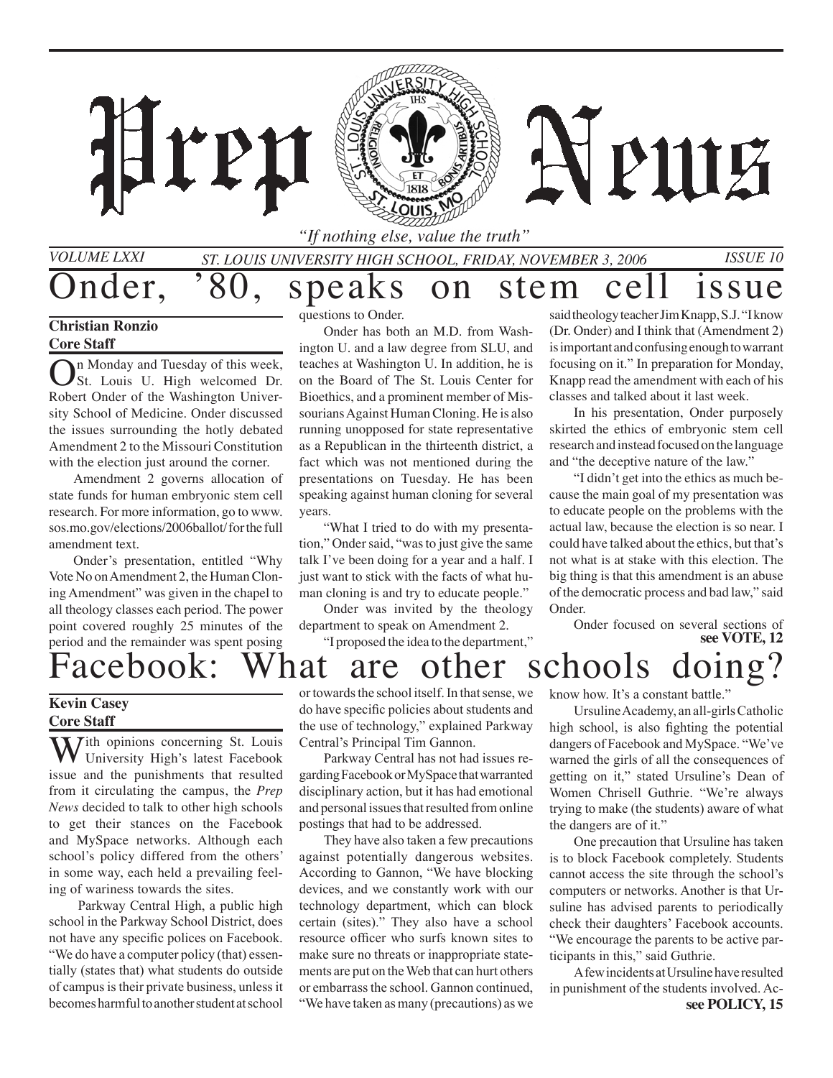*"If nothing else, value the truth"*

*St. Louis University High School, Friday, NOvember 3, 2006 Issue 10*

## nder, '80, speaks on stem cell issue

#### **Christian Ronzio Core Staff**

*Volume LXXI*

In Monday and Tuesday of this week, St. Louis U. High welcomed Dr. Robert Onder of the Washington University School of Medicine. Onder discussed the issues surrounding the hotly debated Amendment 2 to the Missouri Constitution with the election just around the corner.

\*P11

Amendment 2 governs allocation of state funds for human embryonic stem cell research. For more information, go to www. sos.mo.gov/elections/2006ballot/ for the full amendment text.

Onder's presentation, entitled "Why Vote No on Amendment 2, the Human Cloning Amendment" was given in the chapel to all theology classes each period. The power point covered roughly 25 minutes of the period and the remainder was spent posing

questions to Onder.

Onder has both an M.D. from Washington U. and a law degree from SLU, and teaches at Washington U. In addition, he is on the Board of The St. Louis Center for Bioethics, and a prominent member of Missourians Against Human Cloning. He is also running unopposed for state representative as a Republican in the thirteenth district, a fact which was not mentioned during the presentations on Tuesday. He has been speaking against human cloning for several years.

"What I tried to do with my presentation," Onder said, "was to just give the same talk I've been doing for a year and a half. I just want to stick with the facts of what human cloning is and try to educate people."

Onder was invited by the theology department to speak on Amendment 2.

"I proposed the idea to the department,"

said theology teacher Jim Knapp, S.J. "I know (Dr. Onder) and I think that (Amendment 2) is important and confusing enough to warrant focusing on it." In preparation for Monday, Knapp read the amendment with each of his classes and talked about it last week.

**P1115** 

In his presentation, Onder purposely skirted the ethics of embryonic stem cell research and instead focused on the language and "the deceptive nature of the law."

"I didn't get into the ethics as much because the main goal of my presentation was to educate people on the problems with the actual law, because the election is so near. I could have talked about the ethics, but that's not what is at stake with this election. The big thing is that this amendment is an abuse of the democratic process and bad law," said Onder.

**see VOTE, 12** Onder focused on several sections of

# acebook: What are other schools doing?

#### **Kevin Casey Core Staff**

 $\sum$  *T*ith opinions concerning St. Louis University High's latest Facebook issue and the punishments that resulted from it circulating the campus, the *Prep News* decided to talk to other high schools to get their stances on the Facebook and MySpace networks. Although each school's policy differed from the others' in some way, each held a prevailing feeling of wariness towards the sites.

Parkway Central High, a public high school in the Parkway School District, does not have any specific polices on Facebook. "We do have a computer policy (that) essentially (states that) what students do outside of campus is their private business, unless it becomesharmfultoanotherstudent atschool

or towards the school itself. In that sense, we do have specific policies about students and the use of technology," explained Parkway Central's Principal Tim Gannon.

 Parkway Central has not had issues regarding Facebook or MySpace that warranted disciplinary action, but it has had emotional and personal issues that resulted from online postings that had to be addressed.

 They have also taken a few precautions against potentially dangerous websites. According to Gannon, "We have blocking devices, and we constantly work with our technology department, which can block certain (sites)." They also have a school resource officer who surfs known sites to make sure no threats or inappropriate statements are put on theWeb that can hurt others or embarrass the school. Gannon continued, "We have taken as many (precautions) as we know how. It's a constant battle."

 UrsulineAcademy, an all-girlsCatholic high school, is also fighting the potential dangers of Facebook and MySpace. "We've warned the girls of all the consequences of getting on it," stated Ursuline's Dean of Women Chrisell Guthrie. "We're always trying to make (the students) aware of what the dangers are of it."

 One precaution that Ursuline has taken is to block Facebook completely. Students cannot access the site through the school's computers or networks. Another is that Ursuline has advised parents to periodically check their daughters' Facebook accounts. "We encourage the parents to be active participants in this," said Guthrie.

**see POLICY, 15** AfewincidentsatUrsulinehaveresulted in punishment of the students involved. Ac-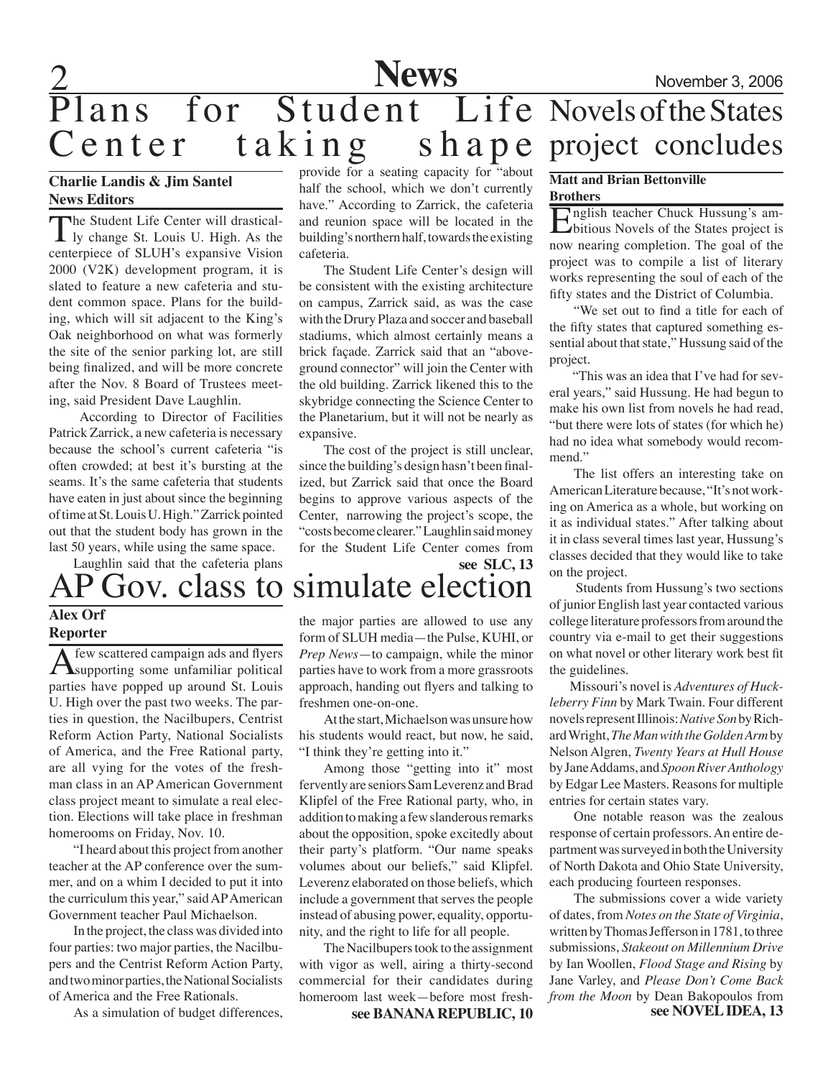

## **News** November 3, 2006 Plans for Student Life Novels of the States Center taking s h a p e project concludes

#### **Charlie Landis & Jim Santel News Editors**

The Student Life Center will drastically change St. Louis U. High. As the centerpiece of SLUH's expansive Vision 2000 (V2K) development program, it is slated to feature a new cafeteria and student common space. Plans for the building, which will sit adjacent to the King's Oak neighborhood on what was formerly the site of the senior parking lot, are still being finalized, and will be more concrete after the Nov. 8 Board of Trustees meeting, said President Dave Laughlin.

 According to Director of Facilities Patrick Zarrick, a new cafeteria is necessary because the school's current cafeteria "is often crowded; at best it's bursting at the seams. It's the same cafeteria that students have eaten in just about since the beginning of time at St. Louis U. High." Zarrick pointed out that the student body has grown in the last 50 years, while using the same space.

Laughlin said that the cafeteria plans

## **Alex Orf**

#### **Reporter**

A few scattered campaign ads and flyers supporting some unfamiliar political parties have popped up around St. Louis U. High over the past two weeks. The parties in question, the Nacilbupers, Centrist Reform Action Party, National Socialists of America, and the Free Rational party, are all vying for the votes of the freshman class in an AP American Government class project meant to simulate a real election. Elections will take place in freshman homerooms on Friday, Nov. 10.

"I heard about this project from another teacher at the AP conference over the summer, and on a whim I decided to put it into the curriculum this year," said AP American Government teacher Paul Michaelson.

In the project, the class was divided into four parties: two major parties, the Nacilbupers and the Centrist Reform Action Party, and two minor parties, the National Socialists of America and the Free Rationals.

As a simulation of budget differences,

provide for a seating capacity for "about half the school, which we don't currently have." According to Zarrick, the cafeteria and reunion space will be located in the building's northern half, towards the existing cafeteria.

The Student Life Center's design will be consistent with the existing architecture on campus, Zarrick said, as was the case with the Drury Plaza and soccer and baseball stadiums, which almost certainly means a brick façade. Zarrick said that an "aboveground connector" will join the Center with the old building. Zarrick likened this to the skybridge connecting the Science Center to the Planetarium, but it will not be nearly as expansive.

The cost of the project is still unclear, since the building's design hasn't been finalized, but Zarrick said that once the Board begins to approve various aspects of the Center, narrowing the project's scope, the "costs become clearer." Laughlin said money for the Student Life Center comes from

**see SLC, 13**

## Gov. class to simulate election

the major parties are allowed to use any form of SLUH media—the Pulse, KUHI, or *Prep News*—to campaign, while the minor parties have to work from a more grassroots approach, handing out flyers and talking to freshmen one-on-one.

At the start, Michaelson was unsure how his students would react, but now, he said, "I think they're getting into it."

Among those "getting into it" most fervently are seniors Sam Leverenz and Brad Klipfel of the Free Rational party, who, in addition to making a few slanderous remarks about the opposition, spoke excitedly about their party's platform. "Our name speaks volumes about our beliefs," said Klipfel. Leverenz elaborated on those beliefs, which include a government that serves the people instead of abusing power, equality, opportunity, and the right to life for all people.

The Nacilbupers took to the assignment with vigor as well, airing a thirty-second commercial for their candidates during homeroom last week—before most fresh-

**see BANANA REPUBLIC, 10**

#### **Matt and Brian Bettonville Brothers**

English teacher Chuck Hussung's ambitious Novels of the States project is now nearing completion. The goal of the project was to compile a list of literary works representing the soul of each of the fifty states and the District of Columbia.

"We set out to find a title for each of the fifty states that captured something essential about that state," Hussung said of the project.

 "This was an idea that I've had for several years," said Hussung. He had begun to make his own list from novels he had read, "but there were lots of states (for which he) had no idea what somebody would recommend."

The list offers an interesting take on American Literature because, "It's not working on America as a whole, but working on it as individual states." After talking about it in class several times last year, Hussung's classes decided that they would like to take on the project.

 Students from Hussung's two sections of junior English last year contacted various college literature professors from around the country via e-mail to get their suggestions on what novel or other literary work best fit the guidelines.

 Missouri's novel is *Adventures of Huckleberry Finn* by Mark Twain. Four different novels represent Illinois: *Native Son* by Richard Wright, *TheMan with the Golden Arm* by Nelson Algren, *Twenty Years at Hull House* by Jane Addams, and *Spoon River Anthology* by Edgar Lee Masters. Reasons for multiple entries for certain states vary.

One notable reason was the zealous response of certain professors. An entire department was surveyed in both the University of North Dakota and Ohio State University, each producing fourteen responses.

The submissions cover a wide variety of dates, from *Notes on the State of Virginia*, written by Thomas Jefferson in 1781, to three submissions, *Stakeout on Millennium Drive* by Ian Woollen, *Flood Stage and Rising* by Jane Varley, and *Please Don't Come Back from the Moon* by Dean Bakopoulos from **see NOVEL IDEA, 13**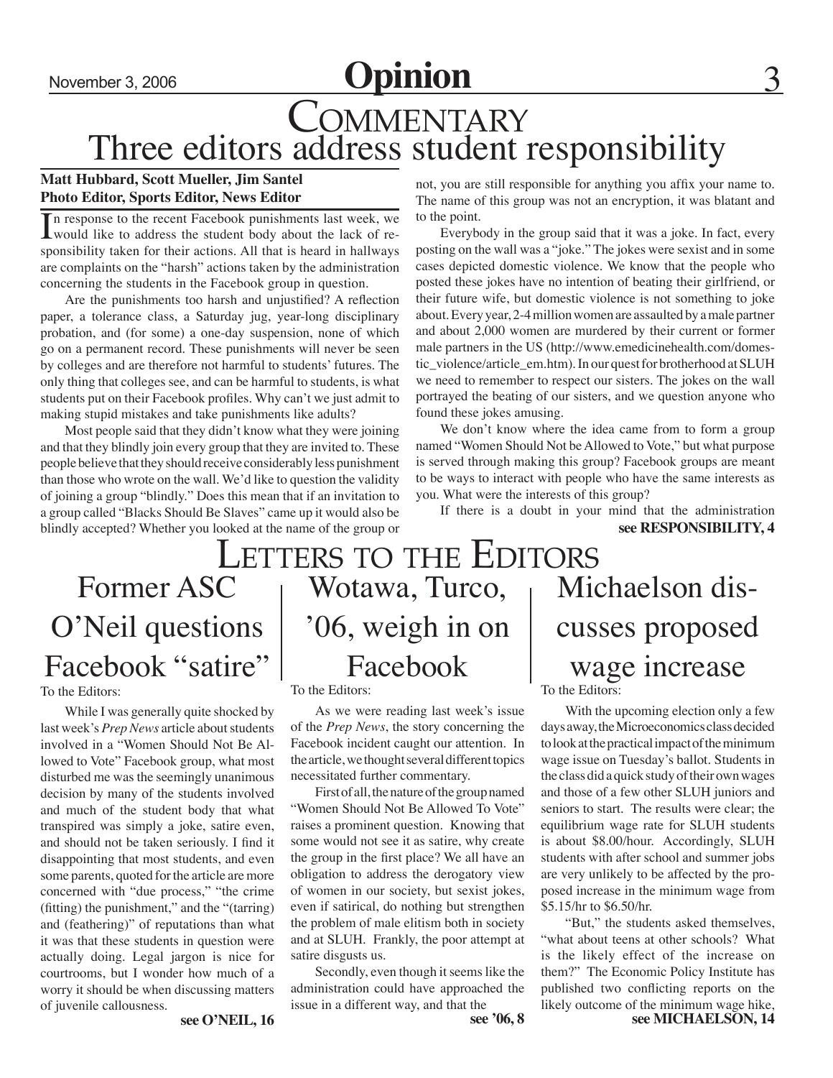## November 3, 2006 **Opinion** 3 COMMENTARY Three editors address student responsibility

#### **Matt Hubbard, Scott Mueller, Jim Santel Photo Editor, Sports Editor, News Editor**

In response to the recent Facebook punishments last week, we would like to address the student body about the lack of ren response to the recent Facebook punishments last week, we sponsibility taken for their actions. All that is heard in hallways are complaints on the "harsh" actions taken by the administration concerning the students in the Facebook group in question.

Are the punishments too harsh and unjustified? A reflection paper, a tolerance class, a Saturday jug, year-long disciplinary probation, and (for some) a one-day suspension, none of which go on a permanent record. These punishments will never be seen by colleges and are therefore not harmful to students' futures. The only thing that colleges see, and can be harmful to students, is what students put on their Facebook profiles. Why can't we just admit to making stupid mistakes and take punishments like adults?

Most people said that they didn't know what they were joining and that they blindly join every group that they are invited to. These people believe that they should receive considerably less punishment than those who wrote on the wall. We'd like to question the validity of joining a group "blindly." Does this mean that if an invitation to a group called "Blacks Should Be Slaves" came up it would also be blindly accepted? Whether you looked at the name of the group or

not, you are still responsible for anything you affix your name to. The name of this group was not an encryption, it was blatant and to the point.

Everybody in the group said that it was a joke. In fact, every posting on the wall was a "joke." The jokes were sexist and in some cases depicted domestic violence. We know that the people who posted these jokes have no intention of beating their girlfriend, or their future wife, but domestic violence is not something to joke about. Every year, 2-4 million women are assaulted by a male partner and about 2,000 women are murdered by their current or former male partners in the US (http://www.emedicinehealth.com/domestic\_violence/article\_em.htm). In our quest for brotherhood at SLUH we need to remember to respect our sisters. The jokes on the wall portrayed the beating of our sisters, and we question anyone who found these jokes amusing.

We don't know where the idea came from to form a group named "Women Should Not be Allowed to Vote," but what purpose is served through making this group? Facebook groups are meant to be ways to interact with people who have the same interests as you. What were the interests of this group?

If there is a doubt in your mind that the administration **see RESPONSIBILITY, 4**

## Former ASC O'Neil questions Facebook "satire"

To the Editors:

While I was generally quite shocked by last week's *Prep News* article about students involved in a "Women Should Not Be Allowed to Vote" Facebook group, what most disturbed me was the seemingly unanimous decision by many of the students involved and much of the student body that what transpired was simply a joke, satire even, and should not be taken seriously. I find it disappointing that most students, and even some parents, quoted for the article are more concerned with "due process," "the crime (fitting) the punishment," and the "(tarring) and (feathering)" of reputations than what it was that these students in question were actually doing. Legal jargon is nice for courtrooms, but I wonder how much of a worry it should be when discussing matters of juvenile callousness. **see O'NEIL, 16**

To the Editors:

As we were reading last week's issue of the *Prep News*, the story concerning the Facebook incident caught our attention. In the article, we thought several different topics necessitated further commentary.

Wotawa, Turco,

'06, weigh in on

Facebook

First of all, the nature of the group named "Women Should Not Be Allowed To Vote" raises a prominent question. Knowing that some would not see it as satire, why create the group in the first place? We all have an obligation to address the derogatory view of women in our society, but sexist jokes, even if satirical, do nothing but strengthen the problem of male elitism both in society and at SLUH. Frankly, the poor attempt at satire disgusts us.

Secondly, even though it seems like the administration could have approached the issue in a different way, and that the

Letters to the Editors Michaelson discusses proposed wage increase To the Editors:

With the upcoming election only a few days away, the Microeconomics class decided to look at the practical impact of the minimum wage issue on Tuesday's ballot. Students in the class did a quick study of their own wages and those of a few other SLUH juniors and seniors to start. The results were clear; the equilibrium wage rate for SLUH students is about \$8.00/hour. Accordingly, SLUH students with after school and summer jobs are very unlikely to be affected by the proposed increase in the minimum wage from \$5.15/hr to \$6.50/hr.

"But," the students asked themselves, "what about teens at other schools? What is the likely effect of the increase on them?" The Economic Policy Institute has published two conflicting reports on the likely outcome of the minimum wage hike,

**see '06, 8 see MICHAELSON, 14**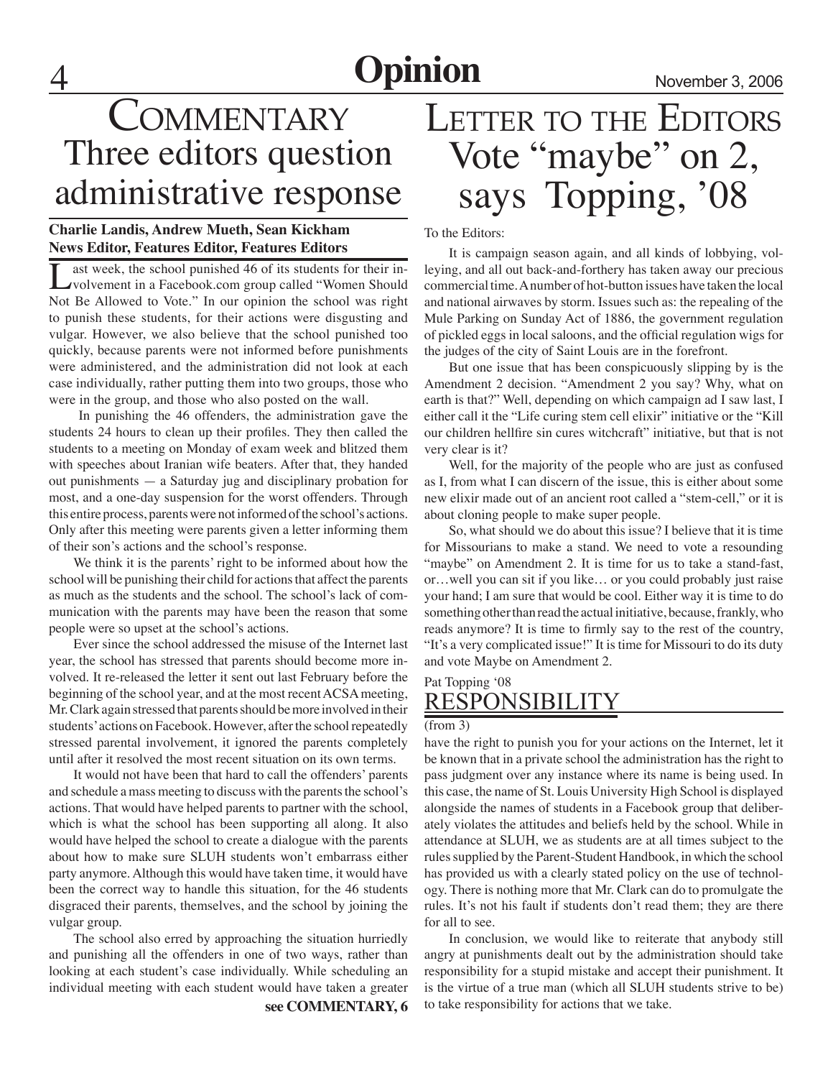## **Opinion** November 3, 2006

## **COMMENTARY** Three editors question administrative response

#### **Charlie Landis, Andrew Mueth, Sean Kickham News Editor, Features Editor, Features Editors**

Last week, the school punished 46 of its students for their in-<br>volvement in a Facebook.com group called "Women Should" Not Be Allowed to Vote." In our opinion the school was right to punish these students, for their actions were disgusting and vulgar. However, we also believe that the school punished too quickly, because parents were not informed before punishments were administered, and the administration did not look at each case individually, rather putting them into two groups, those who were in the group, and those who also posted on the wall.

 In punishing the 46 offenders, the administration gave the students 24 hours to clean up their profiles. They then called the students to a meeting on Monday of exam week and blitzed them with speeches about Iranian wife beaters. After that, they handed out punishments — a Saturday jug and disciplinary probation for most, and a one-day suspension for the worst offenders. Through this entire process, parents were not informed of the school's actions. Only after this meeting were parents given a letter informing them of their son's actions and the school's response.

We think it is the parents' right to be informed about how the school will be punishing their child for actions that affect the parents as much as the students and the school. The school's lack of communication with the parents may have been the reason that some people were so upset at the school's actions.

Ever since the school addressed the misuse of the Internet last year, the school has stressed that parents should become more involved. It re-released the letter it sent out last February before the beginning of the school year, and at the most recent ACSA meeting, Mr. Clark again stressed that parents should be more involved in their students' actions on Facebook. However, after the school repeatedly stressed parental involvement, it ignored the parents completely until after it resolved the most recent situation on its own terms.

It would not have been that hard to call the offenders' parents and schedule a mass meeting to discuss with the parents the school's actions. That would have helped parents to partner with the school, which is what the school has been supporting all along. It also would have helped the school to create a dialogue with the parents about how to make sure SLUH students won't embarrass either party anymore. Although this would have taken time, it would have been the correct way to handle this situation, for the 46 students disgraced their parents, themselves, and the school by joining the vulgar group.

The school also erred by approaching the situation hurriedly and punishing all the offenders in one of two ways, rather than looking at each student's case individually. While scheduling an individual meeting with each student would have taken a greater

#### **see COMMENTARY, 6**

## LETTER TO THE EDITORS Vote "maybe" on 2, says Topping, '08

To the Editors:

It is campaign season again, and all kinds of lobbying, volleying, and all out back-and-forthery has taken away our precious commercial time. A number of hot-button issues have taken the local and national airwaves by storm. Issues such as: the repealing of the Mule Parking on Sunday Act of 1886, the government regulation of pickled eggs in local saloons, and the official regulation wigs for the judges of the city of Saint Louis are in the forefront.

But one issue that has been conspicuously slipping by is the Amendment 2 decision. "Amendment 2 you say? Why, what on earth is that?" Well, depending on which campaign ad I saw last, I either call it the "Life curing stem cell elixir" initiative or the "Kill our children hellfire sin cures witchcraft" initiative, but that is not very clear is it?

Well, for the majority of the people who are just as confused as I, from what I can discern of the issue, this is either about some new elixir made out of an ancient root called a "stem-cell," or it is about cloning people to make super people.

So, what should we do about this issue? I believe that it is time for Missourians to make a stand. We need to vote a resounding "maybe" on Amendment 2. It is time for us to take a stand-fast, or…well you can sit if you like… or you could probably just raise your hand; I am sure that would be cool. Either way it is time to do something other than read the actual initiative, because, frankly, who reads anymore? It is time to firmly say to the rest of the country, "It's a very complicated issue!" It is time for Missouri to do its duty and vote Maybe on Amendment 2.

#### Pat Topping '08 **RESPONSIBILIT**

#### (from 3)

have the right to punish you for your actions on the Internet, let it be known that in a private school the administration has the right to pass judgment over any instance where its name is being used. In this case, the name of St. Louis University High School is displayed alongside the names of students in a Facebook group that deliberately violates the attitudes and beliefs held by the school. While in attendance at SLUH, we as students are at all times subject to the rules supplied by the Parent-Student Handbook, in which the school has provided us with a clearly stated policy on the use of technology. There is nothing more that Mr. Clark can do to promulgate the rules. It's not his fault if students don't read them; they are there for all to see.

In conclusion, we would like to reiterate that anybody still angry at punishments dealt out by the administration should take responsibility for a stupid mistake and accept their punishment. It is the virtue of a true man (which all SLUH students strive to be) to take responsibility for actions that we take.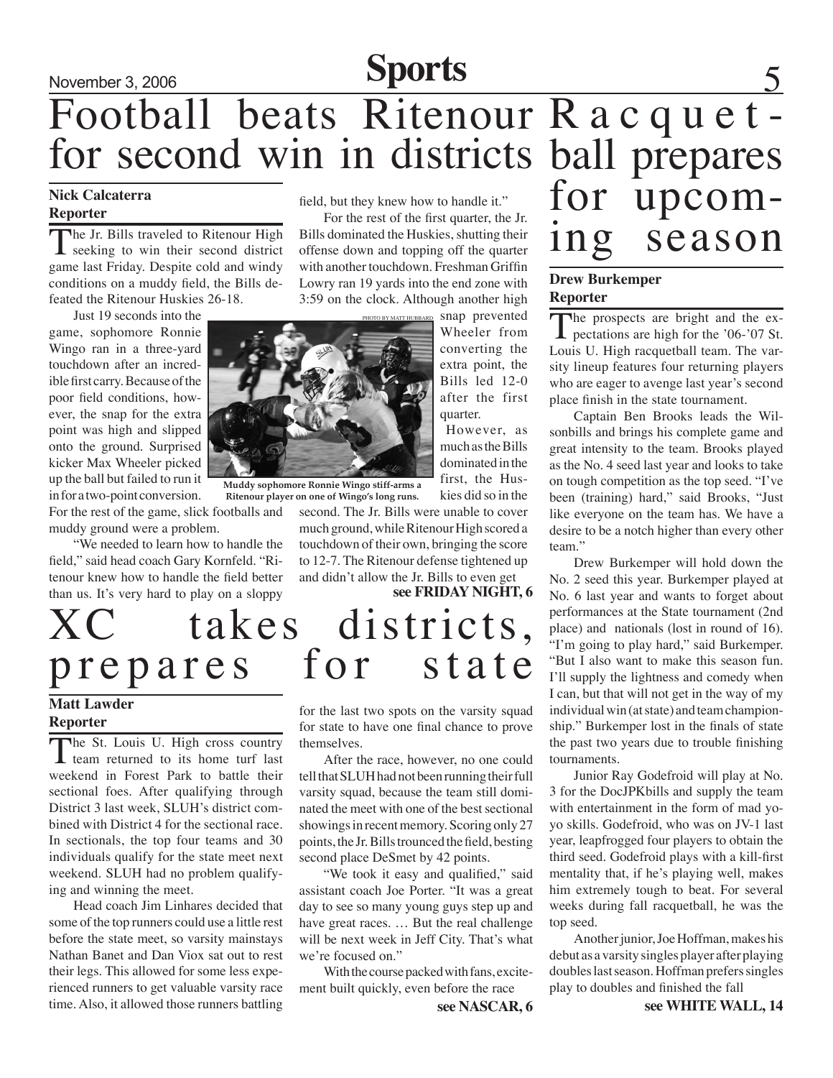## November 3, 2006 **Sports** Football beats Ritenour R a c q u e t -<br>for second win in districts ball prepares for second win in districts

#### **Nick Calcaterra Reporter**

The Jr. Bills traveled to Ritenour High seeking to win their second district game last Friday. Despite cold and windy conditions on a muddy field, the Bills defeated the Ritenour Huskies 26-18.

Just 19 seconds into the game, sophomore Ronnie Wingo ran in a three-yard touchdown after an incredible first carry. Because of the poor field conditions, however, the snap for the extra point was high and slipped onto the ground. Surprised kicker Max Wheeler picked up the ball but failed to run it in for a two-point conversion.

For the rest of the game, slick footballs and muddy ground were a problem.

"We needed to learn how to handle the field," said head coach Gary Kornfeld. "Ritenour knew how to handle the field better than us. It's very hard to play on a sloppy field, but they knew how to handle it."

For the rest of the first quarter, the Jr. Bills dominated the Huskies, shutting their offense down and topping off the quarter with another touchdown. Freshman Griffin Lowry ran 19 yards into the end zone with 3:59 on the clock. Although another high snap prevented



**Muddy sophomore Ronnie Wingo stiff-arms a Ritenour player on one of Wingo's long runs.**

**see FRIDAY NIGHT, 6** kies did so in the second. The Jr. Bills were unable to cover much ground, while Ritenour High scored a touchdown of their own, bringing the score to 12-7. The Ritenour defense tightened up and didn't allow the Jr. Bills to even get

## XC takes districts,<br>prepares for state prepares

#### **Matt Lawder Reporter**

The St. Louis U. High cross country **L** team returned to its home turf last weekend in Forest Park to battle their sectional foes. After qualifying through District 3 last week, SLUH's district combined with District 4 for the sectional race. In sectionals, the top four teams and 30 individuals qualify for the state meet next weekend. SLUH had no problem qualifying and winning the meet.

Head coach Jim Linhares decided that some of the top runners could use a little rest before the state meet, so varsity mainstays Nathan Banet and Dan Viox sat out to rest their legs. This allowed for some less experienced runners to get valuable varsity race time. Also, it allowed those runners battling

for the last two spots on the varsity squad for state to have one final chance to prove themselves.

After the race, however, no one could tell that SLUH had not been running their full varsity squad, because the team still dominated the meet with one of the best sectional showings in recent memory. Scoring only 27 points, the Jr. Bills trounced the field, besting second place DeSmet by 42 points.

"We took it easy and qualified," said assistant coach Joe Porter. "It was a great day to see so many young guys step up and have great races. … But the real challenge will be next week in Jeff City. That's what we're focused on."

With the course packed with fans, excitement built quickly, even before the race

# for upcom-<br>ing season

#### **Drew Burkemper Reporter**

The prospects are bright and the ex-**L** pectations are high for the '06-'07 St. Louis U. High racquetball team. The varsity lineup features four returning players who are eager to avenge last year's second place finish in the state tournament.

Captain Ben Brooks leads the Wilsonbills and brings his complete game and great intensity to the team. Brooks played as the No. 4 seed last year and looks to take on tough competition as the top seed. "I've been (training) hard," said Brooks, "Just like everyone on the team has. We have a desire to be a notch higher than every other team."

Drew Burkemper will hold down the No. 2 seed this year. Burkemper played at No. 6 last year and wants to forget about performances at the State tournament (2nd place) and nationals (lost in round of 16). "I'm going to play hard," said Burkemper. "But I also want to make this season fun. I'll supply the lightness and comedy when I can, but that will not get in the way of my individual win (at state) and team championship." Burkemper lost in the finals of state the past two years due to trouble finishing tournaments.

Junior Ray Godefroid will play at No. 3 for the DocJPKbills and supply the team with entertainment in the form of mad yoyo skills. Godefroid, who was on JV-1 last year, leapfrogged four players to obtain the third seed. Godefroid plays with a kill-first mentality that, if he's playing well, makes him extremely tough to beat. For several weeks during fall racquetball, he was the top seed.

Another junior, Joe Hoffman, makes his debut as a varsity singles player after playing doubles last season. Hoffman prefers singles play to doubles and finished the fall

**see WHITE WALL, 14**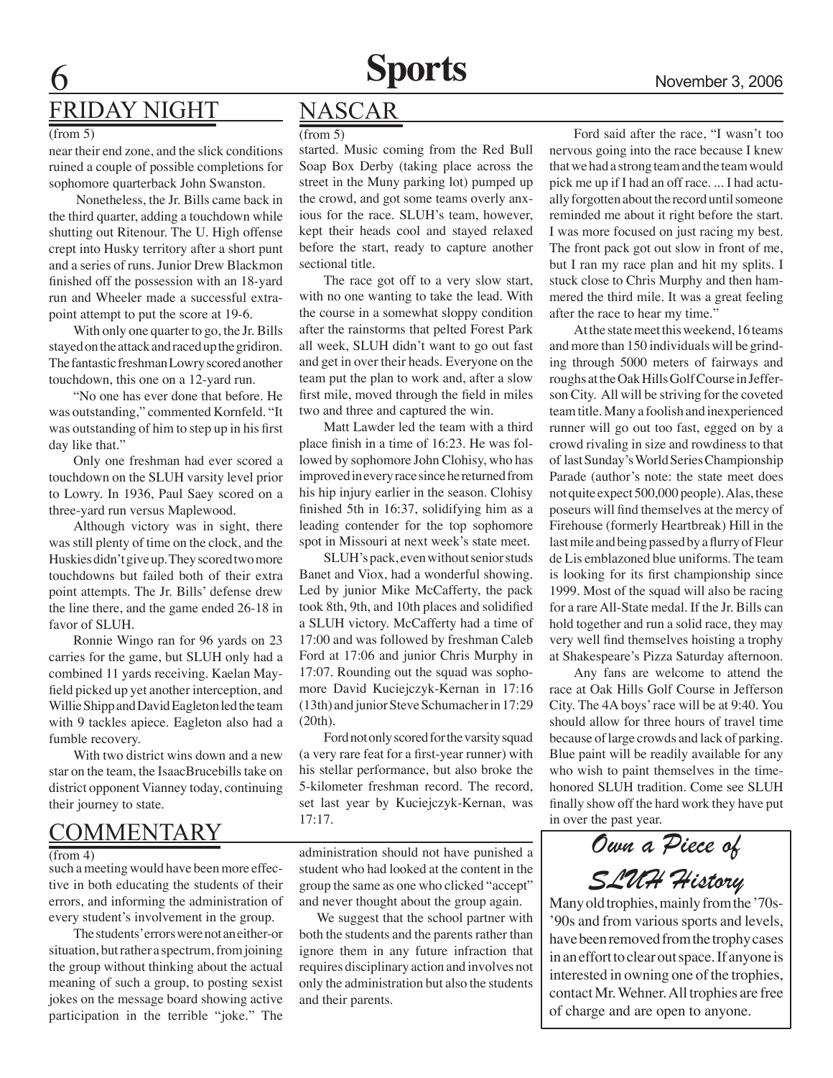#### (from 5)

near their end zone, and the slick conditions ruined a couple of possible completions for sophomore quarterback John Swanston.

 Nonetheless, the Jr. Bills came back in the third quarter, adding a touchdown while shutting out Ritenour. The U. High offense crept into Husky territory after a short punt and a series of runs. Junior Drew Blackmon finished off the possession with an 18-yard run and Wheeler made a successful extrapoint attempt to put the score at 19-6.

With only one quarter to go, the Jr. Bills stayed on the attack and raced up the gridiron. The fantastic freshman Lowry scored another touchdown, this one on a 12-yard run.

"No one has ever done that before. He was outstanding," commented Kornfeld. "It was outstanding of him to step up in his first day like that."

Only one freshman had ever scored a touchdown on the SLUH varsity level prior to Lowry. In 1936, Paul Saey scored on a three-yard run versus Maplewood.

Although victory was in sight, there was still plenty of time on the clock, and the Huskies didn't give up. They scored two more touchdowns but failed both of their extra point attempts. The Jr. Bills' defense drew the line there, and the game ended 26-18 in favor of SLUH.

Ronnie Wingo ran for 96 yards on 23 carries for the game, but SLUH only had a combined 11 yards receiving. Kaelan Mayfield picked up yet another interception, and Willie Shipp and David Eagleton led the team with 9 tackles apiece. Eagleton also had a fumble recovery.

With two district wins down and a new star on the team, the IsaacBrucebills take on district opponent Vianney today, continuing their journey to state.

#### COMMENTARY

#### $(from 4)$

such a meeting would have been more effective in both educating the students of their errors, and informing the administration of every student's involvement in the group.

The students' errors were not an either-or situation, but rather a spectrum, from joining the group without thinking about the actual meaning of such a group, to posting sexist jokes on the message board showing active participation in the terrible "joke." The

#### NASCAR

 $(from 5)$ 

started. Music coming from the Red Bull Soap Box Derby (taking place across the street in the Muny parking lot) pumped up the crowd, and got some teams overly anxious for the race. SLUH's team, however, kept their heads cool and stayed relaxed before the start, ready to capture another sectional title.

The race got off to a very slow start, with no one wanting to take the lead. With the course in a somewhat sloppy condition after the rainstorms that pelted Forest Park all week, SLUH didn't want to go out fast and get in over their heads. Everyone on the team put the plan to work and, after a slow first mile, moved through the field in miles two and three and captured the win.

Matt Lawder led the team with a third place finish in a time of 16:23. He was followed by sophomore John Clohisy, who has improved in every race since he returned from his hip injury earlier in the season. Clohisy finished 5th in 16:37, solidifying him as a leading contender for the top sophomore spot in Missouri at next week's state meet.

SLUH's pack, even without senior studs Banet and Viox, had a wonderful showing. Led by junior Mike McCafferty, the pack took 8th, 9th, and 10th places and solidified a SLUH victory. McCafferty had a time of 17:00 and was followed by freshman Caleb Ford at 17:06 and junior Chris Murphy in 17:07. Rounding out the squad was sophomore David Kuciejczyk-Kernan in 17:16 (13th) and junior Steve Schumacher in 17:29 (20th).

Ford not only scored for the varsity squad (a very rare feat for a first-year runner) with his stellar performance, but also broke the 5-kilometer freshman record. The record, set last year by Kuciejczyk-Kernan, was 17:17.

administration should not have punished a student who had looked at the content in the group the same as one who clicked "accept" and never thought about the group again.

 We suggest that the school partner with both the students and the parents rather than ignore them in any future infraction that requires disciplinary action and involves not only the administration but also the students and their parents.

Ford said after the race, "I wasn't too nervous going into the race because I knew that we had a strong team and the team would pick me up if I had an off race. ... I had actually forgotten about the record until someone reminded me about it right before the start. I was more focused on just racing my best. The front pack got out slow in front of me, but I ran my race plan and hit my splits. I stuck close to Chris Murphy and then hammered the third mile. It was a great feeling after the race to hear my time."

At the state meet this weekend, 16 teams and more than 150 individuals will be grinding through 5000 meters of fairways and roughs at the Oak Hills Golf Course in Jefferson City. All will be striving for the coveted team title. Many a foolish and inexperienced runner will go out too fast, egged on by a crowd rivaling in size and rowdiness to that of last Sunday's World Series Championship Parade (author's note: the state meet does not quite expect 500,000 people). Alas, these poseurs will find themselves at the mercy of Firehouse (formerly Heartbreak) Hill in the last mile and being passed by a flurry of Fleur de Lis emblazoned blue uniforms. The team is looking for its first championship since 1999. Most of the squad will also be racing for a rare All-State medal. If the Jr. Bills can hold together and run a solid race, they may very well find themselves hoisting a trophy at Shakespeare's Pizza Saturday afternoon.

Any fans are welcome to attend the race at Oak Hills Golf Course in Jefferson City. The 4A boys' race will be at 9:40. You should allow for three hours of travel time because of large crowds and lack of parking. Blue paint will be readily available for any who wish to paint themselves in the timehonored SLUH tradition. Come see SLUH finally show off the hard work they have put in over the past year.

*Own a Piece of SLUH History*

Many old trophies, mainly from the '70s- '90s and from various sports and levels, have been removed from the trophy cases in an effort to clear out space. If anyone is interested in owning one of the trophies, contact Mr. Wehner. All trophies are free of charge and are open to anyone.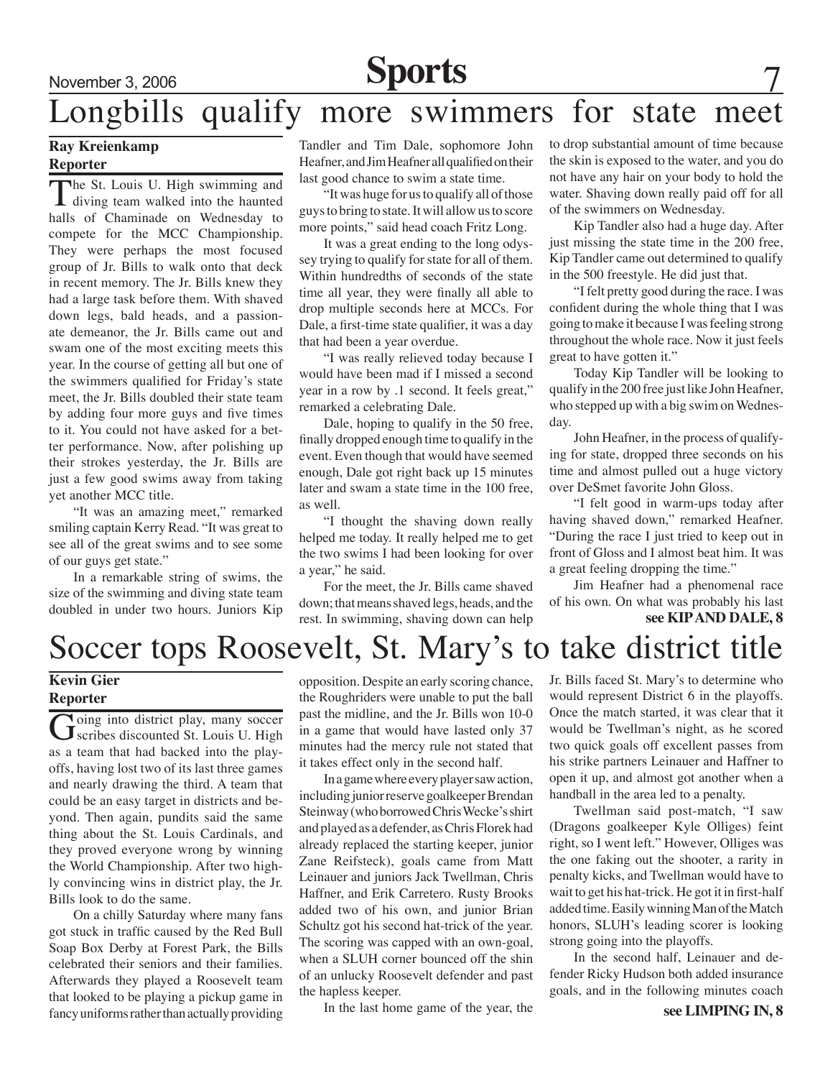## November 3, 2006 **Sports**

## Longbills qualify more swimmers for state meet

#### **Ray Kreienkamp Reporter**

The St. Louis U. High swimming and  $\perp$  diving team walked into the haunted halls of Chaminade on Wednesday to compete for the MCC Championship. They were perhaps the most focused group of Jr. Bills to walk onto that deck in recent memory. The Jr. Bills knew they had a large task before them. With shaved down legs, bald heads, and a passionate demeanor, the Jr. Bills came out and swam one of the most exciting meets this year. In the course of getting all but one of the swimmers qualified for Friday's state meet, the Jr. Bills doubled their state team by adding four more guys and five times to it. You could not have asked for a better performance. Now, after polishing up their strokes yesterday, the Jr. Bills are just a few good swims away from taking yet another MCC title.

"It was an amazing meet," remarked smiling captain Kerry Read. "It was great to see all of the great swims and to see some of our guys get state."

In a remarkable string of swims, the size of the swimming and diving state team doubled in under two hours. Juniors Kip Tandler and Tim Dale, sophomore John Heafner, and Jim Heafner all qualified on their last good chance to swim a state time.

"It was huge for us to qualify all of those guys to bring to state. It will allow us to score more points," said head coach Fritz Long.

It was a great ending to the long odyssey trying to qualify for state for all of them. Within hundredths of seconds of the state time all year, they were finally all able to drop multiple seconds here at MCCs. For Dale, a first-time state qualifier, it was a day that had been a year overdue.

"I was really relieved today because I would have been mad if I missed a second year in a row by .1 second. It feels great," remarked a celebrating Dale.

Dale, hoping to qualify in the 50 free, finally dropped enough time to qualify in the event. Even though that would have seemed enough, Dale got right back up 15 minutes later and swam a state time in the 100 free, as well.

"I thought the shaving down really helped me today. It really helped me to get the two swims I had been looking for over a year," he said.

For the meet, the Jr. Bills came shaved down; that means shaved legs, heads, and the rest. In swimming, shaving down can help to drop substantial amount of time because the skin is exposed to the water, and you do not have any hair on your body to hold the water. Shaving down really paid off for all of the swimmers on Wednesday.

Kip Tandler also had a huge day. After just missing the state time in the 200 free, Kip Tandler came out determined to qualify in the 500 freestyle. He did just that.

"I felt pretty good during the race. I was confident during the whole thing that I was going to make it because I was feeling strong throughout the whole race. Now it just feels great to have gotten it."

Today Kip Tandler will be looking to qualify in the 200 free just like John Heafner, who stepped up with a big swim on Wednesday.

John Heafner, in the process of qualifying for state, dropped three seconds on his time and almost pulled out a huge victory over DeSmet favorite John Gloss.

"I felt good in warm-ups today after having shaved down," remarked Heafner. "During the race I just tried to keep out in front of Gloss and I almost beat him. It was a great feeling dropping the time."

Jim Heafner had a phenomenal race of his own. On what was probably his last **see KIP AND DALE, 8**

## Soccer tops Roosevelt, St. Mary's to take district title

#### **Kevin Gier Reporter**

Going into district play, many soccer Scribes discounted St. Louis U. High as a team that had backed into the playoffs, having lost two of its last three games and nearly drawing the third. A team that could be an easy target in districts and beyond. Then again, pundits said the same thing about the St. Louis Cardinals, and they proved everyone wrong by winning the World Championship. After two highly convincing wins in district play, the Jr. Bills look to do the same.

On a chilly Saturday where many fans got stuck in traffic caused by the Red Bull Soap Box Derby at Forest Park, the Bills celebrated their seniors and their families. Afterwards they played a Roosevelt team that looked to be playing a pickup game in fancy uniforms rather than actually providing

opposition. Despite an early scoring chance, the Roughriders were unable to put the ball past the midline, and the Jr. Bills won 10-0 in a game that would have lasted only 37 minutes had the mercy rule not stated that it takes effect only in the second half.

In a game where every player saw action, including junior reserve goalkeeper Brendan Steinway (who borrowed Chris Wecke's shirt and played as a defender, as Chris Florek had already replaced the starting keeper, junior Zane Reifsteck), goals came from Matt Leinauer and juniors Jack Twellman, Chris Haffner, and Erik Carretero. Rusty Brooks added two of his own, and junior Brian Schultz got his second hat-trick of the year. The scoring was capped with an own-goal, when a SLUH corner bounced off the shin of an unlucky Roosevelt defender and past the hapless keeper.

In the last home game of the year, the

Jr. Bills faced St. Mary's to determine who would represent District 6 in the playoffs. Once the match started, it was clear that it would be Twellman's night, as he scored two quick goals off excellent passes from his strike partners Leinauer and Haffner to open it up, and almost got another when a handball in the area led to a penalty.

Twellman said post-match, "I saw (Dragons goalkeeper Kyle Olliges) feint right, so I went left." However, Olliges was the one faking out the shooter, a rarity in penalty kicks, and Twellman would have to wait to get his hat-trick. He got it in first-half added time. Easily winning Man of the Match honors, SLUH's leading scorer is looking strong going into the playoffs.

In the second half, Leinauer and defender Ricky Hudson both added insurance goals, and in the following minutes coach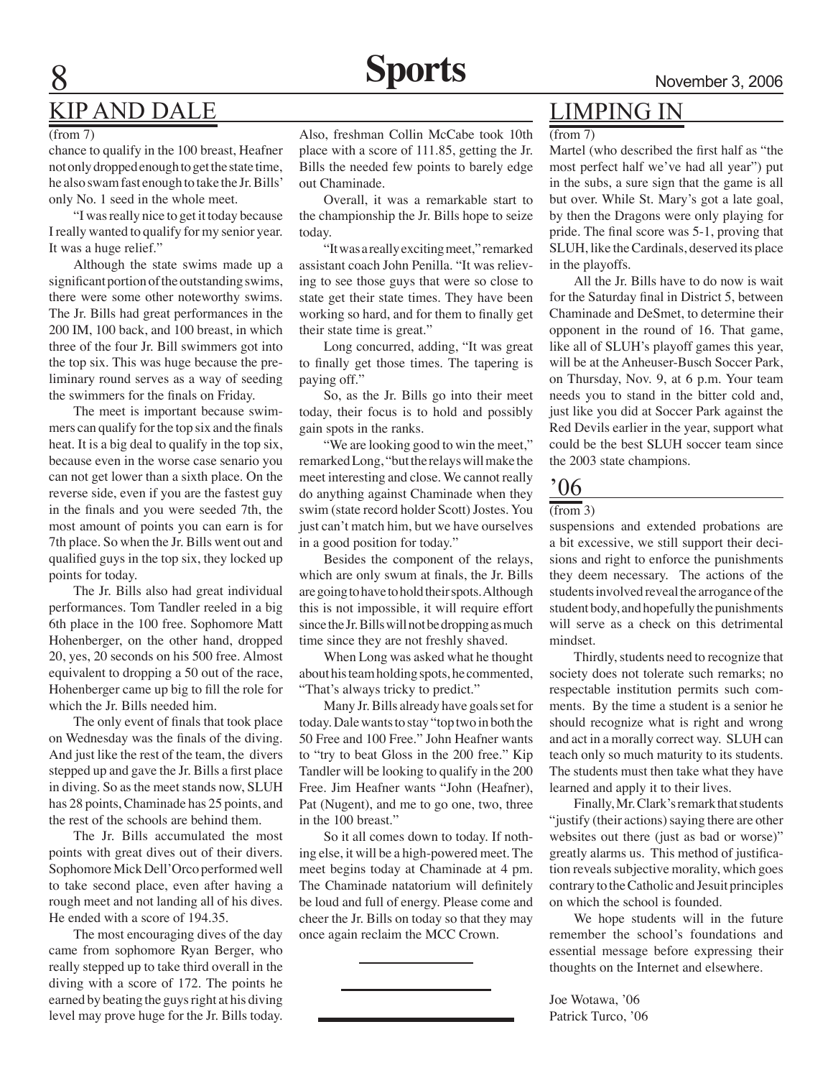## KIP AND DALE

#### (from 7)

chance to qualify in the 100 breast, Heafner not only dropped enough to get the state time, he also swam fast enough to take the Jr. Bills' only No. 1 seed in the whole meet.

"I was really nice to get it today because I really wanted to qualify for my senior year. It was a huge relief."

Although the state swims made up a significant portion of the outstanding swims, there were some other noteworthy swims. The Jr. Bills had great performances in the 200 IM, 100 back, and 100 breast, in which three of the four Jr. Bill swimmers got into the top six. This was huge because the preliminary round serves as a way of seeding the swimmers for the finals on Friday.

The meet is important because swimmers can qualify for the top six and the finals heat. It is a big deal to qualify in the top six, because even in the worse case senario you can not get lower than a sixth place. On the reverse side, even if you are the fastest guy in the finals and you were seeded 7th, the most amount of points you can earn is for 7th place. So when the Jr. Bills went out and qualified guys in the top six, they locked up points for today.

The Jr. Bills also had great individual performances. Tom Tandler reeled in a big 6th place in the 100 free. Sophomore Matt Hohenberger, on the other hand, dropped 20, yes, 20 seconds on his 500 free. Almost equivalent to dropping a 50 out of the race, Hohenberger came up big to fill the role for which the Jr. Bills needed him.

The only event of finals that took place on Wednesday was the finals of the diving. And just like the rest of the team, the divers stepped up and gave the Jr. Bills a first place in diving. So as the meet stands now, SLUH has 28 points, Chaminade has 25 points, and the rest of the schools are behind them.

The Jr. Bills accumulated the most points with great dives out of their divers. Sophomore Mick Dell'Orco performed well to take second place, even after having a rough meet and not landing all of his dives. He ended with a score of 194.35.

The most encouraging dives of the day came from sophomore Ryan Berger, who really stepped up to take third overall in the diving with a score of 172. The points he earned by beating the guys right at his diving level may prove huge for the Jr. Bills today.

Also, freshman Collin McCabe took 10th place with a score of 111.85, getting the Jr. Bills the needed few points to barely edge out Chaminade.

Overall, it was a remarkable start to the championship the Jr. Bills hope to seize today.

"It was a really exciting meet," remarked assistant coach John Penilla. "It was relieving to see those guys that were so close to state get their state times. They have been working so hard, and for them to finally get their state time is great."

Long concurred, adding, "It was great to finally get those times. The tapering is paying off."

So, as the Jr. Bills go into their meet today, their focus is to hold and possibly gain spots in the ranks.

"We are looking good to win the meet," remarked Long, "but the relays will make the meet interesting and close. We cannot really do anything against Chaminade when they swim (state record holder Scott) Jostes. You just can't match him, but we have ourselves in a good position for today."

Besides the component of the relays, which are only swum at finals, the Jr. Bills are going to have to hold their spots. Although this is not impossible, it will require effort since the Jr. Bills will not be dropping as much time since they are not freshly shaved.

When Long was asked what he thought about his team holding spots, he commented, "That's always tricky to predict."

Many Jr. Bills already have goals set for today. Dale wants to stay "top two in both the 50 Free and 100 Free." John Heafner wants to "try to beat Gloss in the 200 free." Kip Tandler will be looking to qualify in the 200 Free. Jim Heafner wants "John (Heafner), Pat (Nugent), and me to go one, two, three in the 100 breast."

So it all comes down to today. If nothing else, it will be a high-powered meet. The meet begins today at Chaminade at 4 pm. The Chaminade natatorium will definitely be loud and full of energy. Please come and cheer the Jr. Bills on today so that they may once again reclaim the MCC Crown.

#### LIMPING IN

#### $\sqrt{(\text{from }7)}$

Martel (who described the first half as "the most perfect half we've had all year") put in the subs, a sure sign that the game is all but over. While St. Mary's got a late goal, by then the Dragons were only playing for pride. The final score was 5-1, proving that SLUH, like the Cardinals, deserved its place in the playoffs.

All the Jr. Bills have to do now is wait for the Saturday final in District 5, between Chaminade and DeSmet, to determine their opponent in the round of 16. That game, like all of SLUH's playoff games this year, will be at the Anheuser-Busch Soccer Park, on Thursday, Nov. 9, at 6 p.m. Your team needs you to stand in the bitter cold and, just like you did at Soccer Park against the Red Devils earlier in the year, support what could be the best SLUH soccer team since the 2003 state champions.

#### '06

#### $\overline{\text{(from 3)}}$

suspensions and extended probations are a bit excessive, we still support their decisions and right to enforce the punishments they deem necessary. The actions of the students involved reveal the arrogance of the student body, and hopefully the punishments will serve as a check on this detrimental mindset.

Thirdly, students need to recognize that society does not tolerate such remarks; no respectable institution permits such comments. By the time a student is a senior he should recognize what is right and wrong and act in a morally correct way. SLUH can teach only so much maturity to its students. The students must then take what they have learned and apply it to their lives.

Finally, Mr. Clark's remark that students "justify (their actions) saying there are other websites out there (just as bad or worse)" greatly alarms us. This method of justification reveals subjective morality, which goes contrary to the Catholic and Jesuit principles on which the school is founded.

We hope students will in the future remember the school's foundations and essential message before expressing their thoughts on the Internet and elsewhere.

Joe Wotawa, '06 Patrick Turco, '06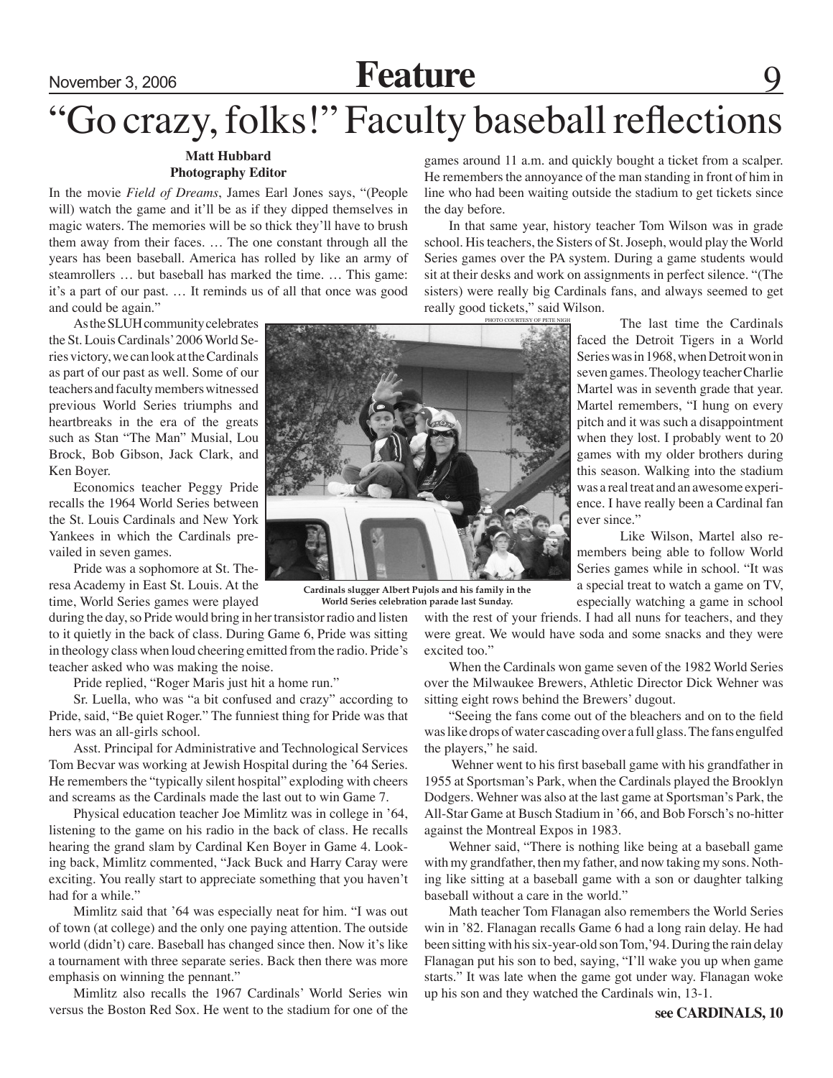## November 3, 2006 **Feature**

## "Go crazy, folks!" Faculty baseball reflections

#### **Matt Hubbard Photography Editor**

In the movie *Field of Dreams*, James Earl Jones says, "(People will) watch the game and it'll be as if they dipped themselves in magic waters. The memories will be so thick they'll have to brush them away from their faces. … The one constant through all the years has been baseball. America has rolled by like an army of steamrollers … but baseball has marked the time. … This game: it's a part of our past. … It reminds us of all that once was good and could be again."

As the SLUH community celebrates the St. Louis Cardinals' 2006 World Series victory, we can look at the Cardinals as part of our past as well. Some of our teachers and faculty members witnessed previous World Series triumphs and heartbreaks in the era of the greats such as Stan "The Man" Musial, Lou Brock, Bob Gibson, Jack Clark, and Ken Boyer.

Economics teacher Peggy Pride recalls the 1964 World Series between the St. Louis Cardinals and New York Yankees in which the Cardinals prevailed in seven games.

Pride was a sophomore at St. Theresa Academy in East St. Louis. At the time, World Series games were played

during the day, so Pride would bring in her transistor radio and listen to it quietly in the back of class. During Game 6, Pride was sitting in theology class when loud cheering emitted from the radio. Pride's teacher asked who was making the noise.

Pride replied, "Roger Maris just hit a home run."

Sr. Luella, who was "a bit confused and crazy" according to Pride, said, "Be quiet Roger." The funniest thing for Pride was that hers was an all-girls school.

Asst. Principal for Administrative and Technological Services Tom Becvar was working at Jewish Hospital during the '64 Series. He remembers the "typically silent hospital" exploding with cheers and screams as the Cardinals made the last out to win Game 7.

Physical education teacher Joe Mimlitz was in college in '64, listening to the game on his radio in the back of class. He recalls hearing the grand slam by Cardinal Ken Boyer in Game 4. Looking back, Mimlitz commented, "Jack Buck and Harry Caray were exciting. You really start to appreciate something that you haven't had for a while."

Mimlitz said that '64 was especially neat for him. "I was out of town (at college) and the only one paying attention. The outside world (didn't) care. Baseball has changed since then. Now it's like a tournament with three separate series. Back then there was more emphasis on winning the pennant."

Mimlitz also recalls the 1967 Cardinals' World Series win versus the Boston Red Sox. He went to the stadium for one of the

games around 11 a.m. and quickly bought a ticket from a scalper. He remembers the annoyance of the man standing in front of him in line who had been waiting outside the stadium to get tickets since the day before.

In that same year, history teacher Tom Wilson was in grade school. His teachers, the Sisters of St. Joseph, would play the World Series games over the PA system. During a game students would sit at their desks and work on assignments in perfect silence. "(The sisters) were really big Cardinals fans, and always seemed to get really good tickets," said Wilson.

> The last time the Cardinals faced the Detroit Tigers in a World Series was in 1968, when Detroit won in seven games. Theology teacher Charlie Martel was in seventh grade that year. Martel remembers, "I hung on every pitch and it was such a disappointment when they lost. I probably went to 20 games with my older brothers during this season. Walking into the stadium was a real treat and an awesome experience. I have really been a Cardinal fan ever since."

> Like Wilson, Martel also remembers being able to follow World Series games while in school. "It was a special treat to watch a game on TV, especially watching a game in school

with the rest of your friends. I had all nuns for teachers, and they were great. We would have soda and some snacks and they were excited too."

When the Cardinals won game seven of the 1982 World Series over the Milwaukee Brewers, Athletic Director Dick Wehner was sitting eight rows behind the Brewers' dugout.

"Seeing the fans come out of the bleachers and on to the field was like drops of water cascading over a full glass. The fans engulfed the players," he said.

 Wehner went to his first baseball game with his grandfather in 1955 at Sportsman's Park, when the Cardinals played the Brooklyn Dodgers. Wehner was also at the last game at Sportsman's Park, the All-Star Game at Busch Stadium in '66, and Bob Forsch's no-hitter against the Montreal Expos in 1983.

Wehner said, "There is nothing like being at a baseball game with my grandfather, then my father, and now taking my sons. Nothing like sitting at a baseball game with a son or daughter talking baseball without a care in the world."

Math teacher Tom Flanagan also remembers the World Series win in '82. Flanagan recalls Game 6 had a long rain delay. He had been sitting with his six-year-old son Tom,'94. During the rain delay Flanagan put his son to bed, saying, "I'll wake you up when game starts." It was late when the game got under way. Flanagan woke up his son and they watched the Cardinals win, 13-1.



**Cardinals slugger Albert Pujols and his family in the World Series celebration parade last Sunday.**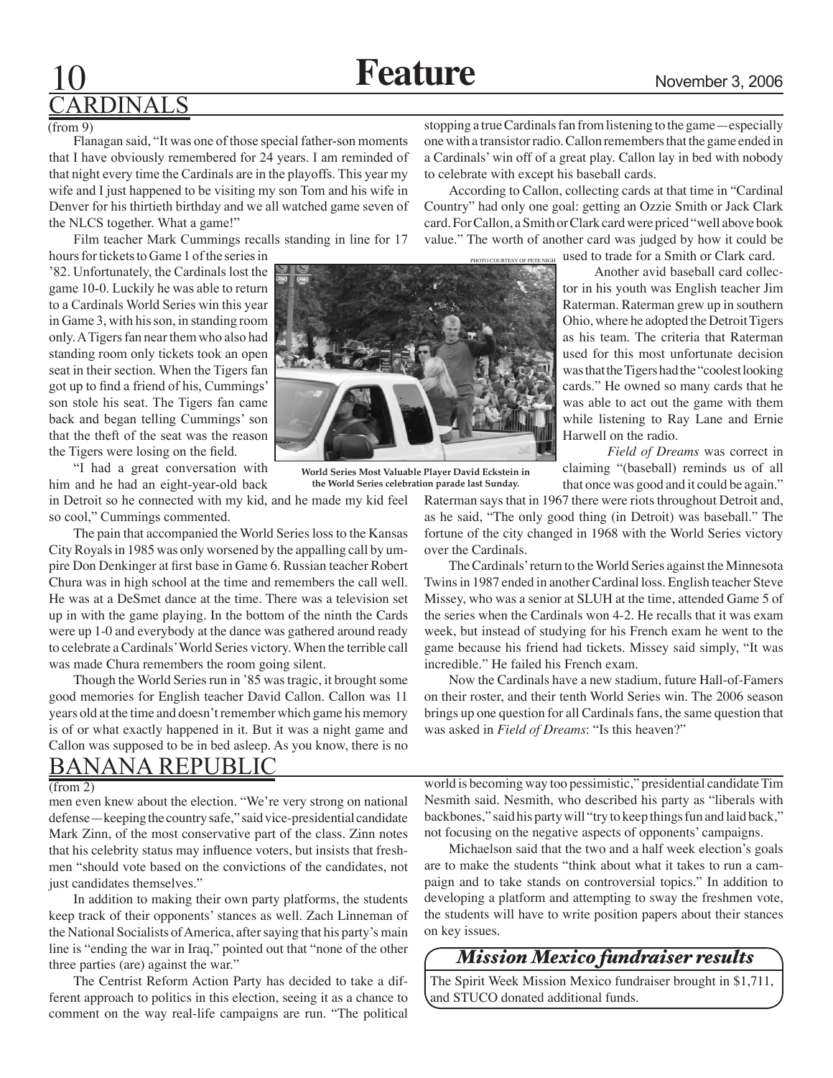# DINALS

#### (from 9)

Flanagan said, "It was one of those special father-son moments that I have obviously remembered for 24 years. I am reminded of that night every time the Cardinals are in the playoffs. This year my wife and I just happened to be visiting my son Tom and his wife in Denver for his thirtieth birthday and we all watched game seven of the NLCS together. What a game!"

Film teacher Mark Cummings recalls standing in line for 17

hours for tickets to Game 1 of the series in '82. Unfortunately, the Cardinals lost the game 10-0. Luckily he was able to return to a Cardinals World Series win this year in Game 3, with hisson, in standing room only. A Tigers fan near them who also had standing room only tickets took an open seat in their section. When the Tigers fan got up to find a friend of his, Cummings' son stole his seat. The Tigers fan came back and began telling Cummings' son that the theft of the seat was the reason the Tigers were losing on the field.

"I had a great conversation with him and he had an eight-year-old back in Detroit so he connected with my kid, and he made my kid feel so cool," Cummings commented.

The pain that accompanied the World Series loss to the Kansas City Royals in 1985 was only worsened by the appalling call by umpire Don Denkinger at first base in Game 6. Russian teacher Robert Chura was in high school at the time and remembers the call well. He was at a DeSmet dance at the time. There was a television set up in with the game playing. In the bottom of the ninth the Cards were up 1-0 and everybody at the dance was gathered around ready to celebrate a Cardinals' World Series victory. When the terrible call was made Chura remembers the room going silent.

Though the World Series run in '85 was tragic, it brought some good memories for English teacher David Callon. Callon was 11 years old at the time and doesn't remember which game his memory is of or what exactly happened in it. But it was a night game and Callon was supposed to be in bed asleep. As you know, there is no

#### Banana Republic

#### (from 2)

men even knew about the election. "We're very strong on national defense—keeping the country safe," said vice-presidential candidate Mark Zinn, of the most conservative part of the class. Zinn notes that his celebrity status may influence voters, but insists that freshmen "should vote based on the convictions of the candidates, not just candidates themselves."

In addition to making their own party platforms, the students keep track of their opponents' stances as well. Zach Linneman of the National Socialists of America, after saying that his party's main line is "ending the war in Iraq," pointed out that "none of the other three parties (are) against the war."

The Centrist Reform Action Party has decided to take a different approach to politics in this election, seeing it as a chance to comment on the way real-life campaigns are run. "The political

stopping a true Cardinals fan from listening to the game—especially one with a transistor radio. Callon remembers that the game ended in a Cardinals' win off of a great play. Callon lay in bed with nobody to celebrate with except his baseball cards.

According to Callon, collecting cards at that time in "Cardinal Country" had only one goal: getting an Ozzie Smith or Jack Clark card. For Callon, a Smith or Clark card were priced "well above book value." The worth of another card was judged by how it could be

used to trade for a Smith or Clark card.

 Another avid baseball card collector in his youth was English teacher Jim Raterman. Raterman grew up in southern Ohio, where he adopted the Detroit Tigers as his team. The criteria that Raterman used for this most unfortunate decision was that the Tigers had the "coolest looking cards." He owned so many cards that he was able to act out the game with them while listening to Ray Lane and Ernie Harwell on the radio.

 *Field of Dreams* was correct in claiming "(baseball) reminds us of all that once was good and it could be again."

Raterman says that in 1967 there were riots throughout Detroit and, as he said, "The only good thing (in Detroit) was baseball." The fortune of the city changed in 1968 with the World Series victory over the Cardinals.

The Cardinals' return to the World Series against the Minnesota Twins in 1987 ended in another Cardinal loss. English teacher Steve Missey, who was a senior at SLUH at the time, attended Game 5 of the series when the Cardinals won 4-2. He recalls that it was exam week, but instead of studying for his French exam he went to the game because his friend had tickets. Missey said simply, "It was incredible." He failed his French exam.

Now the Cardinals have a new stadium, future Hall-of-Famers on their roster, and their tenth World Series win. The 2006 season brings up one question for all Cardinals fans, the same question that was asked in *Field of Dreams*: "Is this heaven?"

world is becoming way too pessimistic," presidential candidate Tim Nesmith said. Nesmith, who described his party as "liberals with backbones," said his party will "try to keep things fun and laid back," not focusing on the negative aspects of opponents' campaigns.

Michaelson said that the two and a half week election's goals are to make the students "think about what it takes to run a campaign and to take stands on controversial topics." In addition to developing a platform and attempting to sway the freshmen vote, the students will have to write position papers about their stances on key issues.

#### *Mission Mexico fundraiser results*

The Spirit Week Mission Mexico fundraiser brought in \$1,711, and STUCO donated additional funds.



**World Series Most Valuable Player David Eckstein in the World Series celebration parade last Sunday.**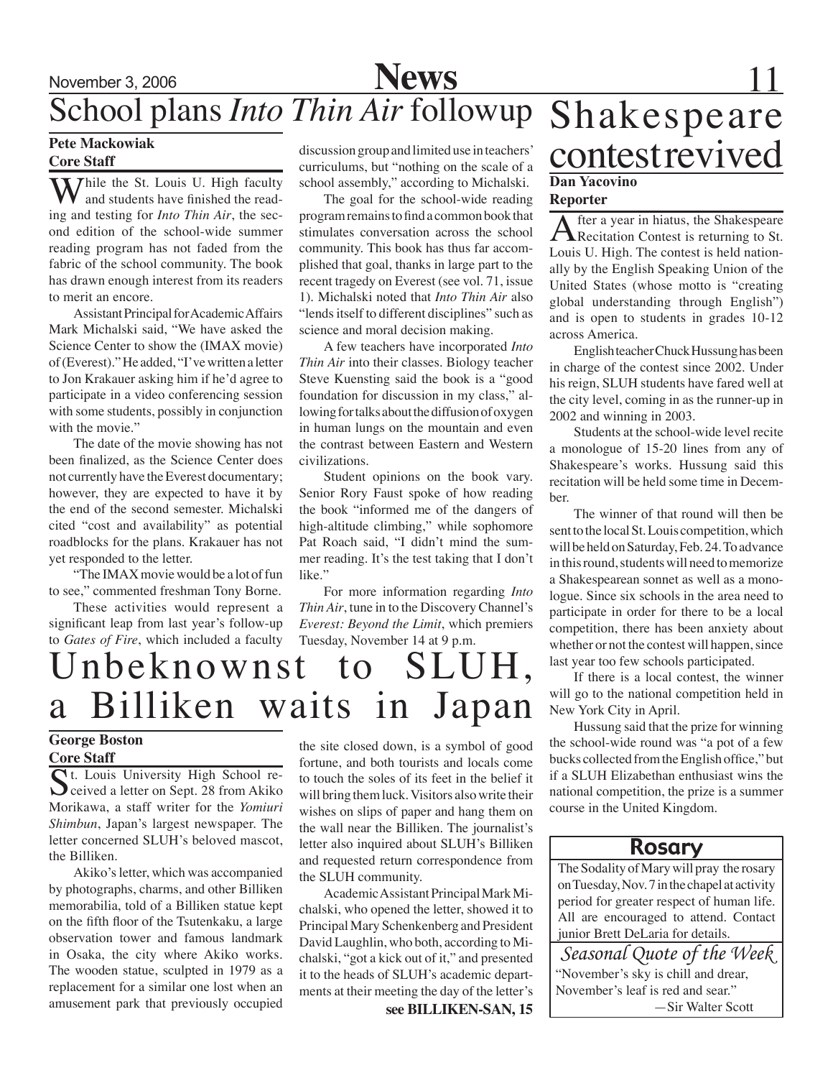## November 3, 2006 **News** 11 School plans *Into Thin Air* followup

#### **Pete Mackowiak Core Staff**

Thile the St. Louis U. High faculty and students have finished the reading and testing for *Into Thin Air*, the second edition of the school-wide summer reading program has not faded from the fabric of the school community. The book has drawn enough interest from its readers to merit an encore.

Assistant Principal for Academic Affairs Mark Michalski said, "We have asked the Science Center to show the (IMAX movie) of (Everest)." He added, "I've written a letter to Jon Krakauer asking him if he'd agree to participate in a video conferencing session with some students, possibly in conjunction with the movie."

The date of the movie showing has not been finalized, as the Science Center does not currently have the Everest documentary; however, they are expected to have it by the end of the second semester. Michalski cited "cost and availability" as potential roadblocks for the plans. Krakauer has not yet responded to the letter.

"The IMAX movie would be a lot of fun to see," commented freshman Tony Borne.

These activities would represent a significant leap from last year's follow-up to *Gates of Fire*, which included a faculty

discussion group and limited use in teachers' curriculums, but "nothing on the scale of a school assembly," according to Michalski.

The goal for the school-wide reading program remains to find a common book that stimulates conversation across the school community. This book has thus far accomplished that goal, thanks in large part to the recent tragedy on Everest (see vol. 71, issue 1). Michalski noted that *Into Thin Air* also "lends itself to different disciplines" such as science and moral decision making.

A few teachers have incorporated *Into Thin Air* into their classes. Biology teacher Steve Kuensting said the book is a "good foundation for discussion in my class," allowing for talks about the diffusion of oxygen in human lungs on the mountain and even the contrast between Eastern and Western civilizations.

Student opinions on the book vary. Senior Rory Faust spoke of how reading the book "informed me of the dangers of high-altitude climbing," while sophomore Pat Roach said, "I didn't mind the summer reading. It's the test taking that I don't like."

For more information regarding *Into Thin Air*, tune in to the Discovery Channel's *Everest: Beyond the Limit*, which premiers Tuesday, November 14 at 9 p.m.

## nbeknownst to SLUH, Billiken waits in Japan

## **George Boston**

**Core Staff**<br> **C** t. Louis University High School re-St. Louis University High School received a letter on Sept. 28 from Akiko Morikawa, a staff writer for the *Yomiuri Shimbun*, Japan's largest newspaper. The letter concerned SLUH's beloved mascot, the Billiken.

Akiko's letter, which was accompanied by photographs, charms, and other Billiken memorabilia, told of a Billiken statue kept on the fifth floor of the Tsutenkaku, a large observation tower and famous landmark in Osaka, the city where Akiko works. The wooden statue, sculpted in 1979 as a replacement for a similar one lost when an amusement park that previously occupied

the site closed down, is a symbol of good fortune, and both tourists and locals come to touch the soles of its feet in the belief it will bring them luck. Visitors also write their wishes on slips of paper and hang them on the wall near the Billiken. The journalist's letter also inquired about SLUH's Billiken and requested return correspondence from the SLUH community.

Academic Assistant Principal Mark Michalski, who opened the letter, showed it to Principal Mary Schenkenberg and President David Laughlin, who both, according to Michalski, "got a kick out of it," and presented it to the heads of SLUH's academic departments at their meeting the day of the letter's

**see BILLIKEN-SAN, 15**

## Shakespeare contest revived **Dan Yacovino**

#### **Reporter**

After a year in hiatus, the Shakespeare<br>Recitation Contest is returning to St. Louis U. High. The contest is held nationally by the English Speaking Union of the United States (whose motto is "creating global understanding through English") and is open to students in grades 10-12 across America.

English teacher Chuck Hussung has been in charge of the contest since 2002. Under his reign, SLUH students have fared well at the city level, coming in as the runner-up in 2002 and winning in 2003.

Students at the school-wide level recite a monologue of 15-20 lines from any of Shakespeare's works. Hussung said this recitation will be held some time in December.

The winner of that round will then be sent to the local St. Louis competition, which will be held on Saturday, Feb. 24. To advance in this round, students will need to memorize a Shakespearean sonnet as well as a monologue. Since six schools in the area need to participate in order for there to be a local competition, there has been anxiety about whether or not the contest will happen, since last year too few schools participated.

If there is a local contest, the winner will go to the national competition held in New York City in April.

Hussung said that the prize for winning the school-wide round was "a pot of a few bucks collected from the English office," but if a SLUH Elizabethan enthusiast wins the national competition, the prize is a summer course in the United Kingdom.

#### Rosary

The Sodality of Mary will pray the rosary on Tuesday, Nov. 7 in the chapel at activity period for greater respect of human life. All are encouraged to attend. Contact junior Brett DeLaria for details.

"November's sky is chill and drear, November's leaf is red and sear." —Sir Walter Scott *Seasonal Quote of the Week*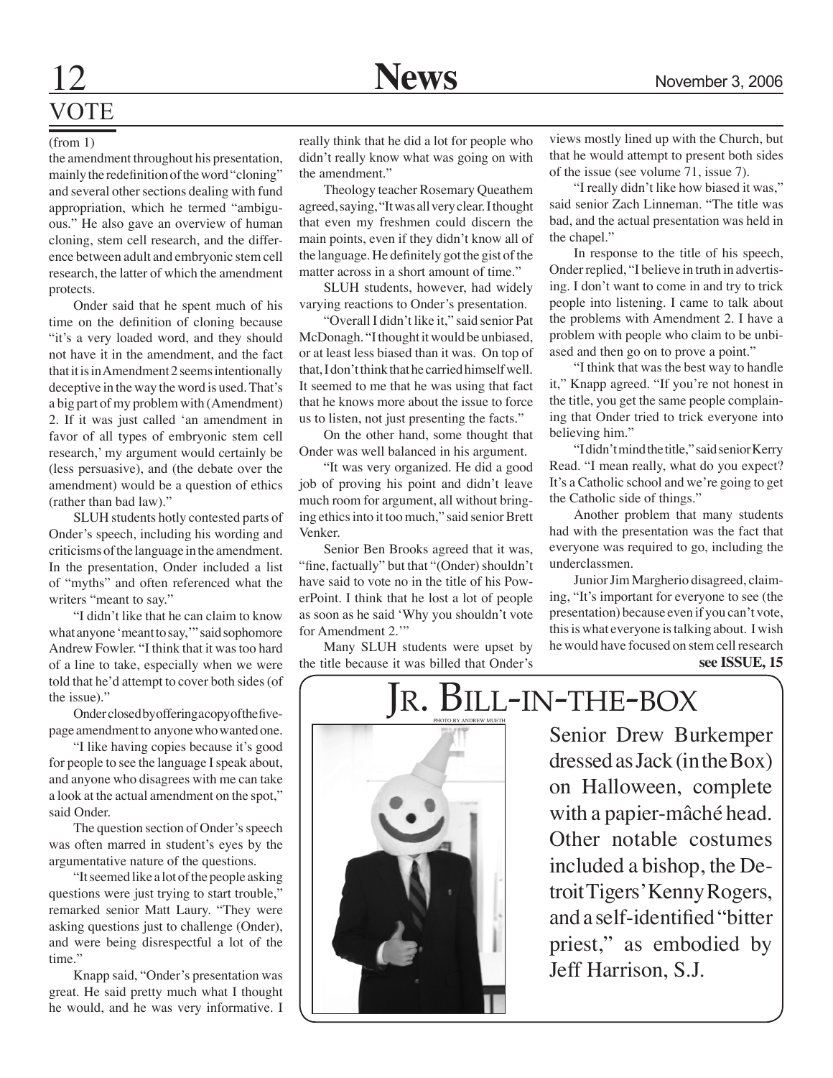# **VOTE**

#### (from 1)

the amendment throughout his presentation, mainly the redefinition of the word "cloning" and several other sections dealing with fund appropriation, which he termed "ambiguous." He also gave an overview of human cloning, stem cell research, and the difference between adult and embryonic stem cell research, the latter of which the amendment protects.

Onder said that he spent much of his time on the definition of cloning because "it's a very loaded word, and they should not have it in the amendment, and the fact that it is in Amendment 2 seems intentionally deceptive in the way the word is used. That's a big part of my problem with (Amendment) 2. If it was just called 'an amendment in favor of all types of embryonic stem cell research,' my argument would certainly be (less persuasive), and (the debate over the amendment) would be a question of ethics (rather than bad law)."

SLUH students hotly contested parts of Onder's speech, including his wording and criticisms of the language in the amendment. In the presentation, Onder included a list of "myths" and often referenced what the writers "meant to say."

"I didn't like that he can claim to know what anyone 'meant to say,'" said sophomore Andrew Fowler. "I think that it was too hard of a line to take, especially when we were told that he'd attempt to cover both sides (of the issue)."

Onder closed by offering a copy of the fivepage amendment to anyone who wanted one.

"I like having copies because it's good for people to see the language I speak about, and anyone who disagrees with me can take a look at the actual amendment on the spot," said Onder.

The question section of Onder's speech was often marred in student's eyes by the argumentative nature of the questions.

"It seemed like a lot of the people asking questions were just trying to start trouble," remarked senior Matt Laury. "They were asking questions just to challenge (Onder), and were being disrespectful a lot of the time."

Knapp said, "Onder's presentation was great. He said pretty much what I thought he would, and he was very informative. I

really think that he did a lot for people who didn't really know what was going on with the amendment."

Theology teacher Rosemary Queathem agreed, saying, "It was all very clear. I thought that even my freshmen could discern the main points, even if they didn't know all of the language. He definitely got the gist of the matter across in a short amount of time."

SLUH students, however, had widely varying reactions to Onder's presentation.

"Overall I didn't like it," said senior Pat McDonagh. "I thought it would be unbiased, or at least less biased than it was. On top of that, I don't think that he carried himself well. It seemed to me that he was using that fact that he knows more about the issue to force us to listen, not just presenting the facts."

On the other hand, some thought that Onder was well balanced in his argument.

"It was very organized. He did a good job of proving his point and didn't leave much room for argument, all without bringing ethics into it too much," said senior Brett Venker.

Senior Ben Brooks agreed that it was, "fine, factually" but that "(Onder) shouldn't have said to vote no in the title of his PowerPoint. I think that he lost a lot of people as soon as he said 'Why you shouldn't vote for Amendment 2.'"

Many SLUH students were upset by the title because it was billed that Onder's

views mostly lined up with the Church, but that he would attempt to present both sides of the issue (see volume 71, issue 7).

"I really didn't like how biased it was," said senior Zach Linneman. "The title was bad, and the actual presentation was held in the chapel."

In response to the title of his speech, Onder replied, "I believe in truth in advertising. I don't want to come in and try to trick people into listening. I came to talk about the problems with Amendment 2. I have a problem with people who claim to be unbiased and then go on to prove a point."

"I think that was the best way to handle it," Knapp agreed. "If you're not honest in the title, you get the same people complaining that Onder tried to trick everyone into believing him."

"I didn't mind the title," said senior Kerry Read. "I mean really, what do you expect? It's a Catholic school and we're going to get the Catholic side of things."

Another problem that many students had with the presentation was the fact that everyone was required to go, including the underclassmen.

Junior Jim Margherio disagreed, claiming, "It's important for everyone to see (the presentation) because even if you can't vote, this is what everyone is talking about. I wish he would have focused on stem cell research **see ISSUE, 15**

BILL-IN-THE-BOX

Senior Drew Burkemper dressed as Jack (in the Box) on Halloween, complete with a papier-mâché head. Other notable costumes included a bishop, the Detroit Tigers' Kenny Rogers, and a self-identified "bitter priest," as embodied by Jeff Harrison, S.J.

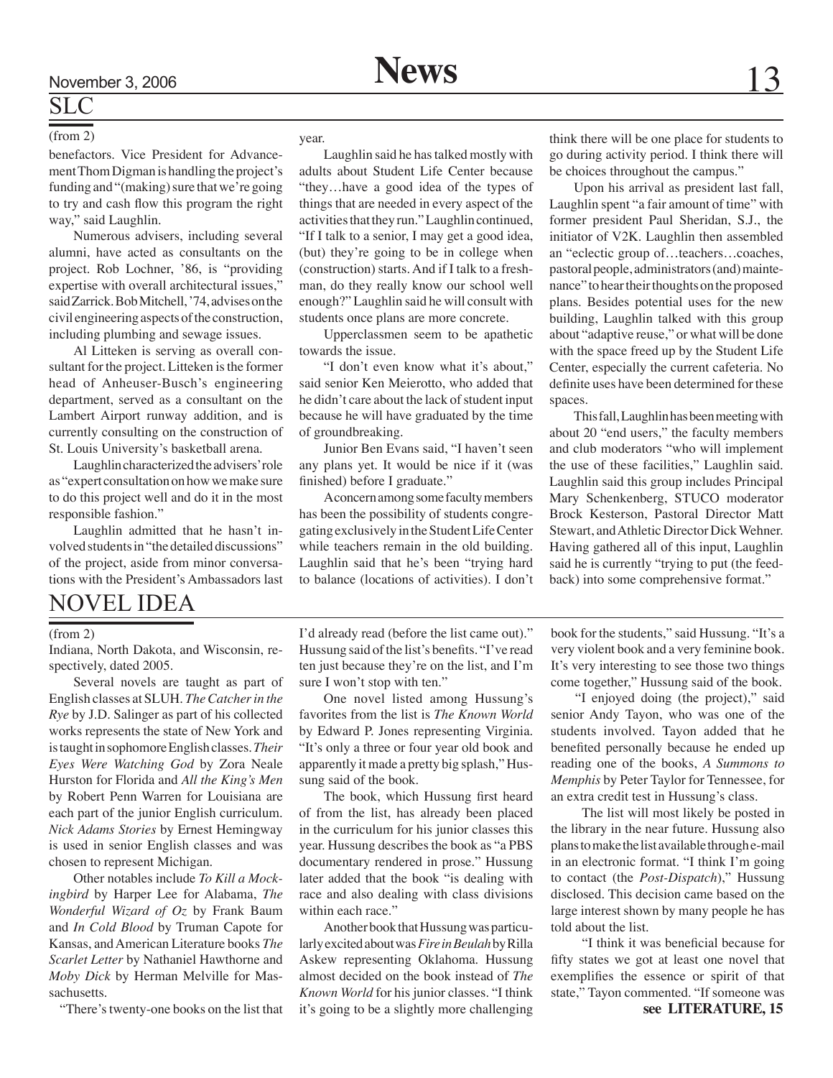#### SLC (from 2)

benefactors. Vice President for Advancement Thom Digman is handling the project's funding and "(making) sure that we're going to try and cash flow this program the right way," said Laughlin.

Numerous advisers, including several alumni, have acted as consultants on the project. Rob Lochner, '86, is "providing expertise with overall architectural issues," said Zarrick. Bob Mitchell, '74, advises on the civil engineering aspects of the construction, including plumbing and sewage issues.

Al Litteken is serving as overall consultant for the project. Litteken is the former head of Anheuser-Busch's engineering department, served as a consultant on the Lambert Airport runway addition, and is currently consulting on the construction of St. Louis University's basketball arena.

Laughlin characterized the advisers' role as "expert consultation on how we make sure to do this project well and do it in the most responsible fashion."

Laughlin admitted that he hasn't involved students in "the detailed discussions" of the project, aside from minor conversations with the President's Ambassadors last

#### NOVEL IDEA

#### (from 2)

Indiana, North Dakota, and Wisconsin, respectively, dated 2005.

Several novels are taught as part of English classes at SLUH. *The Catcher in the Rye* by J.D. Salinger as part of his collected works represents the state of New York and is taught in sophomore English classes. *Their Eyes Were Watching God* by Zora Neale Hurston for Florida and *All the King's Men* by Robert Penn Warren for Louisiana are each part of the junior English curriculum. *Nick Adams Stories* by Ernest Hemingway is used in senior English classes and was chosen to represent Michigan.

Other notables include *To Kill a Mockingbird* by Harper Lee for Alabama, *The Wonderful Wizard of Oz* by Frank Baum and *In Cold Blood* by Truman Capote for Kansas, and American Literature books *The Scarlet Letter* by Nathaniel Hawthorne and *Moby Dick* by Herman Melville for Massachusetts.

"There's twenty-one books on the list that

year.

Laughlin said he has talked mostly with adults about Student Life Center because "they…have a good idea of the types of things that are needed in every aspect of the activities that they run." Laughlin continued, "If I talk to a senior, I may get a good idea, (but) they're going to be in college when (construction) starts. And if I talk to a freshman, do they really know our school well enough?" Laughlin said he will consult with students once plans are more concrete.

Upperclassmen seem to be apathetic towards the issue.

"I don't even know what it's about," said senior Ken Meierotto, who added that he didn't care about the lack of student input because he will have graduated by the time of groundbreaking.

Junior Ben Evans said, "I haven't seen any plans yet. It would be nice if it (was finished) before I graduate."

A concern among some faculty members has been the possibility of students congregating exclusively in the Student Life Center while teachers remain in the old building. Laughlin said that he's been "trying hard to balance (locations of activities). I don't think there will be one place for students to go during activity period. I think there will be choices throughout the campus."

Upon his arrival as president last fall, Laughlin spent "a fair amount of time" with former president Paul Sheridan, S.J., the initiator of V2K. Laughlin then assembled an "eclectic group of…teachers…coaches, pastoral people, administrators (and) maintenance" to hear their thoughts on the proposed plans. Besides potential uses for the new building, Laughlin talked with this group about "adaptive reuse," or what will be done with the space freed up by the Student Life Center, especially the current cafeteria. No definite uses have been determined for these spaces.

This fall, Laughlin has been meeting with about 20 "end users," the faculty members and club moderators "who will implement the use of these facilities," Laughlin said. Laughlin said this group includes Principal Mary Schenkenberg, STUCO moderator Brock Kesterson, Pastoral Director Matt Stewart, and Athletic Director Dick Wehner. Having gathered all of this input, Laughlin said he is currently "trying to put (the feedback) into some comprehensive format."

I'd already read (before the list came out)." Hussung said of the list's benefits. "I've read ten just because they're on the list, and I'm sure I won't stop with ten."

One novel listed among Hussung's favorites from the list is *The Known World* by Edward P. Jones representing Virginia. "It's only a three or four year old book and apparently it made a pretty big splash," Hussung said of the book.

The book, which Hussung first heard of from the list, has already been placed in the curriculum for his junior classes this year. Hussung describes the book as "a PBS documentary rendered in prose." Hussung later added that the book "is dealing with race and also dealing with class divisions within each race."

Another book that Hussung was particularly excited about was *Fire in Beulah* by Rilla Askew representing Oklahoma. Hussung almost decided on the book instead of *The Known World* for his junior classes. "I think it's going to be a slightly more challenging

book for the students," said Hussung. "It's a very violent book and a very feminine book. It's very interesting to see those two things come together," Hussung said of the book.

"I enjoyed doing (the project)," said senior Andy Tayon, who was one of the students involved. Tayon added that he benefited personally because he ended up reading one of the books, *A Summons to Memphis* by Peter Taylor for Tennessee, for an extra credit test in Hussung's class.

 The list will most likely be posted in the library in the near future. Hussung also plans to make the list available through e-mail in an electronic format. "I think I'm going to contact (the *Post-Dispatch*)," Hussung disclosed. This decision came based on the large interest shown by many people he has told about the list.

 "I think it was beneficial because for fifty states we got at least one novel that exemplifies the essence or spirit of that state," Tayon commented. "If someone was **see LITERATURE, 15**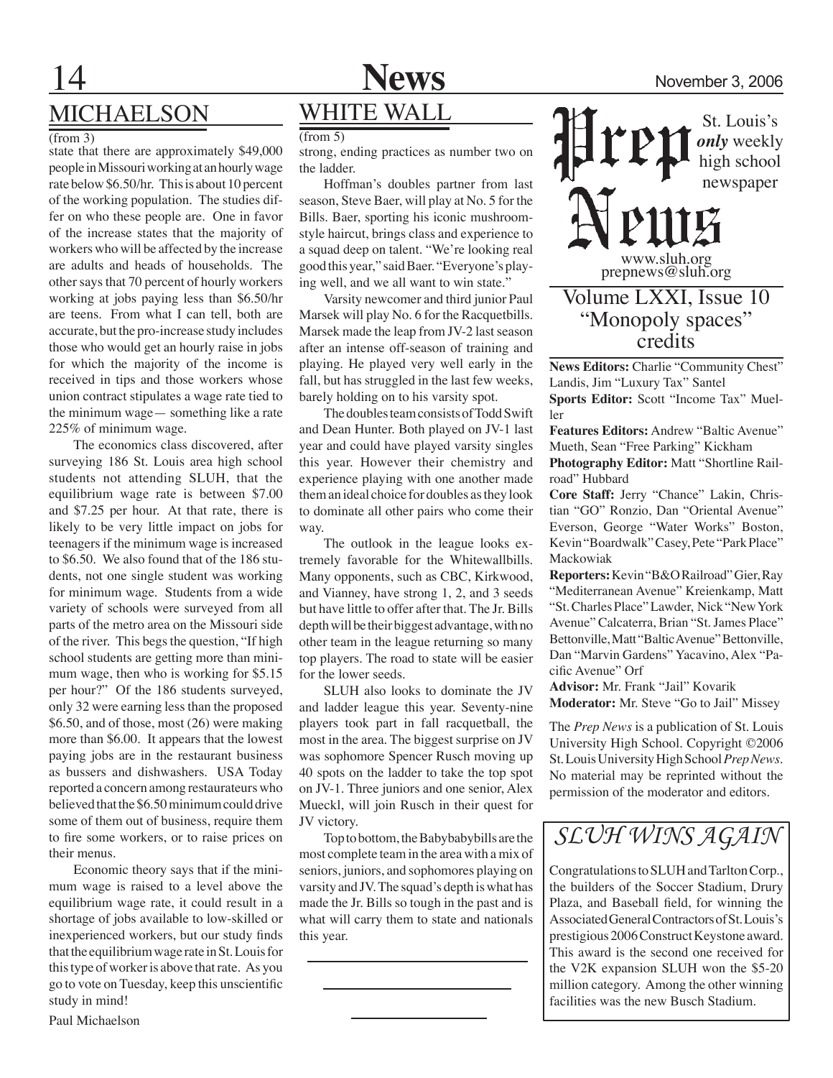

## MichAElson

#### (from 3)

state that there are approximately \$49,000 people in Missouri working at an hourly wage rate below \$6.50/hr. This is about 10 percent of the working population. The studies differ on who these people are. One in favor of the increase states that the majority of workers who will be affected by the increase are adults and heads of households. The other says that 70 percent of hourly workers working at jobs paying less than \$6.50/hr are teens. From what I can tell, both are accurate, but the pro-increase study includes those who would get an hourly raise in jobs for which the majority of the income is received in tips and those workers whose union contract stipulates a wage rate tied to the minimum wage— something like a rate 225% of minimum wage.

The economics class discovered, after surveying 186 St. Louis area high school students not attending SLUH, that the equilibrium wage rate is between \$7.00 and \$7.25 per hour. At that rate, there is likely to be very little impact on jobs for teenagers if the minimum wage is increased to \$6.50. We also found that of the 186 students, not one single student was working for minimum wage. Students from a wide variety of schools were surveyed from all parts of the metro area on the Missouri side of the river. This begs the question, "If high school students are getting more than minimum wage, then who is working for \$5.15 per hour?" Of the 186 students surveyed, only 32 were earning less than the proposed \$6.50, and of those, most (26) were making more than \$6.00. It appears that the lowest paying jobs are in the restaurant business as bussers and dishwashers. USA Today reported a concern among restaurateurs who believed that the \$6.50 minimum could drive some of them out of business, require them to fire some workers, or to raise prices on their menus.

Economic theory says that if the minimum wage is raised to a level above the equilibrium wage rate, it could result in a shortage of jobs available to low-skilled or inexperienced workers, but our study finds that the equilibrium wage rate in St. Louis for this type of worker is above that rate. As you go to vote on Tuesday, keep this unscientific study in mind!

## WHITE WALL

#### $\sqrt{(\text{from } 5)}$

strong, ending practices as number two on the ladder.

Hoffman's doubles partner from last season, Steve Baer, will play at No. 5 for the Bills. Baer, sporting his iconic mushroomstyle haircut, brings class and experience to a squad deep on talent. "We're looking real good this year," said Baer. "Everyone's playing well, and we all want to win state."

Varsity newcomer and third junior Paul Marsek will play No. 6 for the Racquetbills. Marsek made the leap from JV-2 last season after an intense off-season of training and playing. He played very well early in the fall, but has struggled in the last few weeks, barely holding on to his varsity spot.

The doubles team consists of Todd Swift and Dean Hunter. Both played on JV-1 last year and could have played varsity singles this year. However their chemistry and experience playing with one another made them an ideal choice for doubles as they look to dominate all other pairs who come their way.

The outlook in the league looks extremely favorable for the Whitewallbills. Many opponents, such as CBC, Kirkwood, and Vianney, have strong 1, 2, and 3 seeds but have little to offer after that. The Jr. Bills depth will be their biggest advantage, with no other team in the league returning so many top players. The road to state will be easier for the lower seeds.

SLUH also looks to dominate the JV and ladder league this year. Seventy-nine players took part in fall racquetball, the most in the area. The biggest surprise on JV was sophomore Spencer Rusch moving up 40 spots on the ladder to take the top spot on JV-1. Three juniors and one senior, Alex Mueckl, will join Rusch in their quest for JV victory.

Top to bottom, the Babybabybills are the most complete team in the area with a mix of seniors, juniors, and sophomores playing on varsity and JV. The squad's depth is what has made the Jr. Bills so tough in the past and is what will carry them to state and nationals this year.

St. Louis's *only* weekly high school newspaper www.sluh.org prepnews@sluh.org Volume LXXI, Issue 10

## "Monopoly spaces" credits

**News Editors:** Charlie "Community Chest" Landis, Jim "Luxury Tax" Santel **Sports Editor:** Scott "Income Tax" Mueller

**Features Editors:** Andrew "Baltic Avenue" Mueth, Sean "Free Parking" Kickham

**Photography Editor:** Matt "Shortline Railroad" Hubbard

**Core Staff:** Jerry "Chance" Lakin, Christian "GO" Ronzio, Dan "Oriental Avenue" Everson, George "Water Works" Boston, Kevin "Boardwalk" Casey, Pete "Park Place" Mackowiak

**Reporters:** Kevin "B&O Railroad" Gier, Ray "Mediterranean Avenue" Kreienkamp, Matt "St. Charles Place" Lawder, Nick "New York Avenue" Calcaterra, Brian "St. James Place" Bettonville, Matt "Baltic Avenue" Bettonville, Dan "Marvin Gardens" Yacavino, Alex "Pacific Avenue" Orf

**Advisor:** Mr. Frank "Jail" Kovarik **Moderator:** Mr. Steve "Go to Jail" Missey

The *Prep News* is a publication of St. Louis University High School. Copyright ©2006 St. Louis University High School *Prep News.*  No material may be reprinted without the permission of the moderator and editors.

## *SLUH WINS AGAIN*

Congratulations to SLUH and Tarlton Corp., the builders of the Soccer Stadium, Drury Plaza, and Baseball field, for winning the Associated General Contractors of St. Louis's prestigious 2006 Construct Keystone award. This award is the second one received for the V2K expansion SLUH won the \$5-20 million category. Among the other winning facilities was the new Busch Stadium.

Paul Michaelson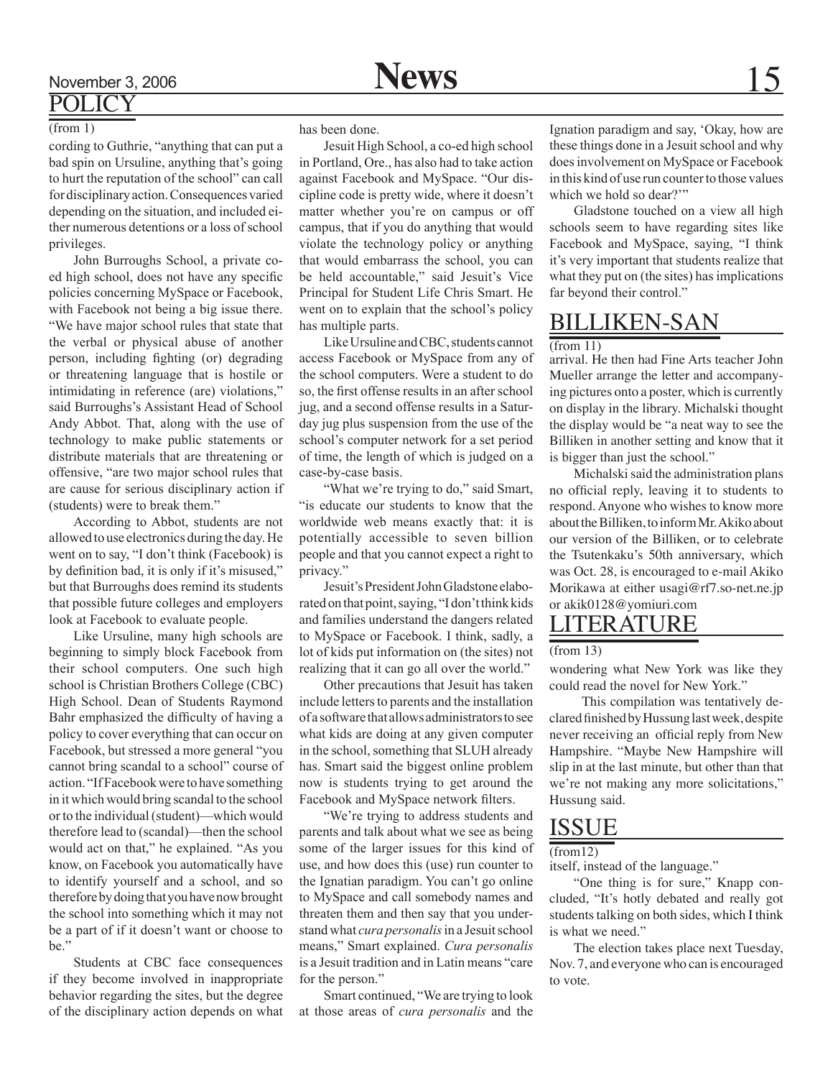#### (from 1)

cording to Guthrie, "anything that can put a bad spin on Ursuline, anything that's going to hurt the reputation of the school" can call for disciplinary action. Consequences varied depending on the situation, and included either numerous detentions or a loss of school privileges.

John Burroughs School, a private coed high school, does not have any specific policies concerning MySpace or Facebook, with Facebook not being a big issue there. "We have major school rules that state that the verbal or physical abuse of another person, including fighting (or) degrading or threatening language that is hostile or intimidating in reference (are) violations," said Burroughs's Assistant Head of School Andy Abbot. That, along with the use of technology to make public statements or distribute materials that are threatening or offensive, "are two major school rules that are cause for serious disciplinary action if (students) were to break them."

 According to Abbot, students are not allowed to use electronics during the day. He went on to say, "I don't think (Facebook) is by definition bad, it is only if it's misused," but that Burroughs does remind its students that possible future colleges and employers look at Facebook to evaluate people.

Like Ursuline, many high schools are beginning to simply block Facebook from their school computers. One such high school is Christian Brothers College (CBC) High School. Dean of Students Raymond Bahr emphasized the difficulty of having a policy to cover everything that can occur on Facebook, but stressed a more general "you cannot bring scandal to a school" course of action. "If Facebook were to have something in it which would bring scandal to the school orto the individual(student)—which would therefore lead to (scandal)—then the school would act on that," he explained. "As you know, on Facebook you automatically have to identify yourself and a school, and so therefore by doing that you have now brought the school into something which it may not be a part of if it doesn't want or choose to be."

Students at CBC face consequences if they become involved in inappropriate behavior regarding the sites, but the degree of the disciplinary action depends on what has been done.

 Jesuit High School, a co-ed high school in Portland, Ore., has also had to take action against Facebook and MySpace. "Our discipline code is pretty wide, where it doesn't matter whether you're on campus or off campus, that if you do anything that would violate the technology policy or anything that would embarrass the school, you can be held accountable," said Jesuit's Vice Principal for Student Life Chris Smart. He went on to explain that the school's policy has multiple parts.

Like Ursuline and CBC, students cannot access Facebook or MySpace from any of the school computers. Were a student to do so, the first offense results in an after school jug, and a second offense results in a Saturday jug plus suspension from the use of the school's computer network for a set period of time, the length of which is judged on a case-by-case basis.

 "What we're trying to do," said Smart, "is educate our students to know that the worldwide web means exactly that: it is potentially accessible to seven billion people and that you cannot expect a right to privacy."

 Jesuit'sPresidentJohnGladstone elaborated on that point, saying, "I don't think kids and families understand the dangers related to MySpace or Facebook. I think, sadly, a lot of kids put information on (the sites) not realizing that it can go all over the world."

 Other precautions that Jesuit has taken include letters to parents and the installation of a software that allows administratorstosee what kids are doing at any given computer in the school, something that SLUH already has. Smart said the biggest online problem now is students trying to get around the Facebook and MySpace network filters.

 "We're trying to address students and parents and talk about what we see as being some of the larger issues for this kind of use, and how does this (use) run counter to the Ignatian paradigm. You can't go online to MySpace and call somebody names and threaten them and then say that you understand what *cura personalis* in a Jesuit school means," Smart explained. *Cura personalis* is a Jesuit tradition and in Latin means "care for the person."

 Smart continued, "We are trying to look at those areas of *cura personalis* and the Ignation paradigm and say, 'Okay, how are these things done in a Jesuit school and why does involvement on MySpace or Facebook in this kind of use run counter to those values which we hold so dear?"

 Gladstone touched on a view all high schools seem to have regarding sites like Facebook and MySpace, saying, "I think it's very important that students realize that what they put on (the sites) has implications far beyond their control."

#### BILLIKEN-SAN

#### $(from 11)$

arrival. He then had Fine Arts teacher John Mueller arrange the letter and accompanying pictures onto a poster, which is currently on display in the library. Michalski thought the display would be "a neat way to see the Billiken in another setting and know that it is bigger than just the school."

Michalski said the administration plans no official reply, leaving it to students to respond. Anyone who wishes to know more about the Billiken, to inform Mr. Akiko about our version of the Billiken, or to celebrate the Tsutenkaku's 50th anniversary, which was Oct. 28, is encouraged to e-mail Akiko Morikawa at either usagi@rf7.so-net.ne.jp or akik0128@yomiuri.com

#### LITERATURE

#### (from 13)

wondering what New York was like they could read the novel for New York."

 This compilation was tentatively declared finished by Hussung last week, despite never receiving an official reply from New Hampshire. "Maybe New Hampshire will slip in at the last minute, but other than that we're not making any more solicitations," Hussung said.

#### ISSUE

#### $(from12)$

itself, instead of the language."

"One thing is for sure," Knapp concluded, "It's hotly debated and really got students talking on both sides, which I think is what we need."

The election takes place next Tuesday, Nov. 7, and everyone who can is encouraged to vote.